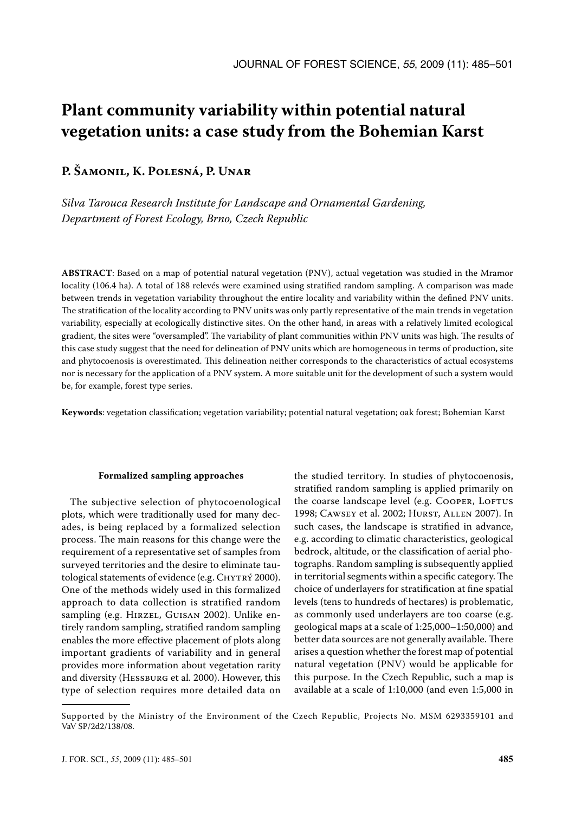# **Plant community variability within potential natural vegetation units: a case study from the Bohemian Karst**

# **P. Šamonil, K. Polesná, P. Unar**

*Silva Tarouca Research Institute for Landscape and Ornamental Gardening, Department of Forest Ecology, Brno, Czech Republic*

**ABSTRACT**: Based on a map of potential natural vegetation (PNV), actual vegetation was studied in the Mramor locality (106.4 ha). A total of 188 relevés were examined using stratified random sampling. A comparison was made between trends in vegetation variability throughout the entire locality and variability within the defined PNV units. The stratification of the locality according to PNV units was only partly representative of the main trends in vegetation variability, especially at ecologically distinctive sites. On the other hand, in areas with a relatively limited ecological gradient, the sites were "oversampled". The variability of plant communities within PNV units was high. The results of this case study suggest that the need for delineation of PNV units which are homogeneous in terms of production, site and phytocoenosis is overestimated. This delineation neither corresponds to the characteristics of actual ecosystems nor is necessary for the application of a PNV system. A more suitable unit for the development of such a system would be, for example, forest type series.

**Keywords**: vegetation classification; vegetation variability; potential natural vegetation; oak forest; Bohemian Karst

#### **Formalized sampling approaches**

The subjective selection of phytocoenological plots, which were traditionally used for many decades, is being replaced by a formalized selection process. The main reasons for this change were the requirement of a representative set of samples from surveyed territories and the desire to eliminate tautological statements of evidence (e.g. CHYTRÝ 2000). One of the methods widely used in this formalized approach to data collection is stratified random sampling (e.g. Hirzel, Guisan 2002). Unlike entirely random sampling, stratified random sampling enables the more effective placement of plots along important gradients of variability and in general provides more information about vegetation rarity and diversity (HESSBURG et al. 2000). However, this type of selection requires more detailed data on

the studied territory. In studies of phytocoenosis, stratified random sampling is applied primarily on the coarse landscape level (e.g. COOPER, LOFTUS 1998; Cawsey et al. 2002; Hurst, Allen 2007). In such cases, the landscape is stratified in advance, e.g. according to climatic characteristics, geological bedrock, altitude, or the classification of aerial photographs. Random sampling is subsequently applied in territorial segments within a specific category. The choice of underlayers for stratification at fine spatial levels (tens to hundreds of hectares) is problematic, as commonly used underlayers are too coarse (e.g. geological maps at a scale of 1:25,000–1:50,000) and better data sources are not generally available. There arises a question whether the forest map of potential natural vegetation (PNV) would be applicable for this purpose. In the Czech Republic, such a map is available at a scale of 1:10,000 (and even 1:5,000 in

Supported by the Ministry of the Environment of the Czech Republic, Projects No. MSM 6293359101 and VaV SP/2d2/138/08.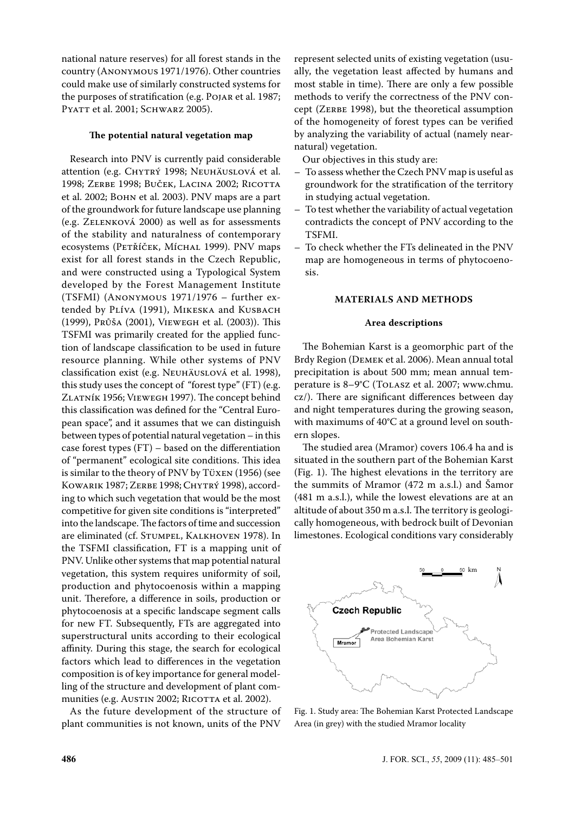national nature reserves) for all forest stands in the country (Anonymous 1971/1976). Other countries could make use of similarly constructed systems for the purposes of stratification (e.g. Pojar et al. 1987; PYATT et al. 2001; SCHWARZ 2005).

### **The potential natural vegetation map**

Research into PNV is currently paid considerable attention (e.g. CHYTRÝ 1998; NEUHÄUSLOVÁ et al. 1998; Zerbe 1998; Buček, Lacina 2002; Ricotta et al. 2002; Bohn et al. 2003). PNV maps are a part of the groundwork for future landscape use planning (e.g. Zelenková 2000) as well as for assessments of the stability and naturalness of contemporary ecosystems (PETŘÍČEK, MÍCHAL 1999). PNV maps exist for all forest stands in the Czech Republic, and were constructed using a Typological System developed by the Forest Management Institute (TSFMI) (Anonymous 1971/1976 – further extended by PLÍVA (1991), MIKESKA and KUSBACH (1999), Průša (2001), Viewegh et al. (2003)). This TSFMI was primarily created for the applied function of landscape classification to be used in future resource planning. While other systems of PNV classification exist (e.g. Neuhäuslová et al. 1998), this study uses the concept of "forest type" (FT) (e.g. Zlatník 1956; Viewegh 1997). The concept behind this classification was defined for the "Central European space", and it assumes that we can distinguish between types of potential natural vegetation – in this case forest types (FT) – based on the differentiation of "permanent" ecological site conditions. This idea is similar to the theory of PNV by Tüxen (1956) (see Kowarik 1987; Zerbe 1998; Chytrý 1998), according to which such vegetation that would be the most competitive for given site conditions is "interpreted" into the landscape. The factors of time and succession are eliminated (cf. Stumpel, Kalkhoven 1978). In the TSFMI classification, FT is a mapping unit of PNV. Unlike other systems that map potential natural vegetation, this system requires uniformity of soil, production and phytocoenosis within a mapping unit. Therefore, a difference in soils, production or phytocoenosis at a specific landscape segment calls for new FT. Subsequently, FTs are aggregated into superstructural units according to their ecological affinity. During this stage, the search for ecological factors which lead to differences in the vegetation composition is of key importance for general modelling of the structure and development of plant communities (e.g. Austin 2002; RICOTTA et al. 2002).

As the future development of the structure of plant communities is not known, units of the PNV

represent selected units of existing vegetation (usually, the vegetation least affected by humans and most stable in time). There are only a few possible methods to verify the correctness of the PNV concept (ZERBE 1998), but the theoretical assumption of the homogeneity of forest types can be verified by analyzing the variability of actual (namely nearnatural) vegetation.

Our objectives in this study are:

- To assess whether the Czech PNV map is useful as groundwork for the stratification of the territory in studying actual vegetation.
- To test whether the variability of actual vegetation contradicts the concept of PNV according to the TSFMI.
- To check whether the FTs delineated in the PNV map are homogeneous in terms of phytocoenosis.

#### **MATERIALS AND METHODS**

#### **Area descriptions**

The Bohemian Karst is a geomorphic part of the Brdy Region (Demek et al. 2006). Mean annual total precipitation is about 500 mm; mean annual temperature is 8–9°C (Tolasz et al. 2007; www.chmu. cz/). There are significant differences between day and night temperatures during the growing season, with maximums of 40°C at a ground level on southern slopes.

The studied area (Mramor) covers 106.4 ha and is situated in the southern part of the Bohemian Karst (Fig. 1). The highest elevations in the territory are the summits of Mramor (472 m a.s.l.) and Šamor (481 m a.s.l.), while the lowest elevations are at an altitude of about 350 m a.s.l. The territory is geologically homogeneous, with bedrock built of Devonian limestones. Ecological conditions vary considerably



Fig. 1. Study area: The Bohemian Karst Protected Landscape Area (in grey) with the studied Mramor locality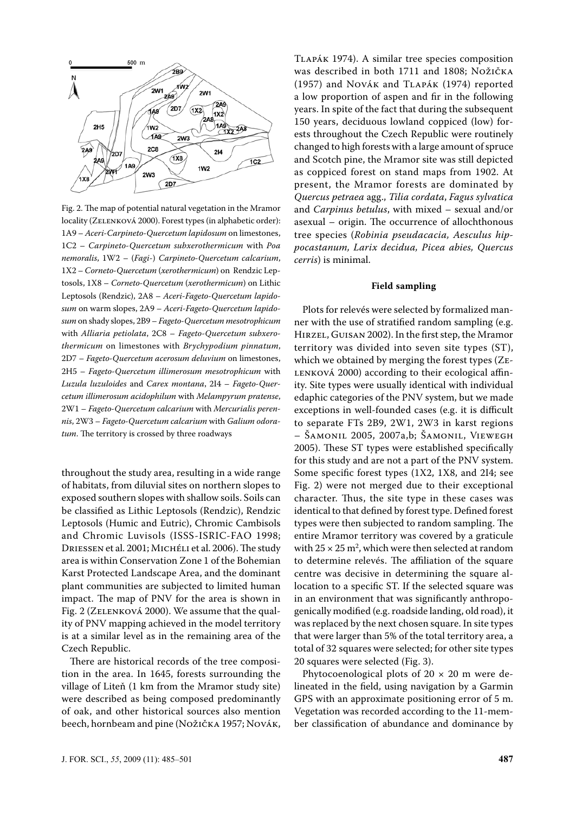

Fig. 2. The map of potential natural vegetation in the Mramor locality (ZELENKOVÁ 2000). Forest types (in alphabetic order): 1A9 – *Aceri-Carpineto-Quercetum lapidosum* on limestones, 1C2 – *Carpineto-Quercetum subxerothermicum* with *Poa nemoralis*, 1W2 – (*Fagi*-) *Carpineto-Quercetum calcarium*, 1X2 – *Corneto-Quercetum* (*xerothermicum*) on Rendzic Leptosols, 1X8 – *Corneto-Quercetum* (*xerothermicum*) on Lithic Leptosols (Rendzic), 2A8 – *Aceri-Fageto-Quercetum lapidosum* on warm slopes, 2A9 – *Aceri-Fageto-Quercetum lapidosum* on shady slopes, 2B9 – *Fageto-Quercetum mesotrophicum* with *Alliaria petiolata*, 2C8 – *Fageto-Quercetum subxerothermicum* on limestones with *Brychypodium pinnatum*, 2D7 – *Fageto-Quercetum acerosum deluvium* on limestones, 2H5 – *Fageto-Quercetum illimerosum mesotrophicum* with *Luzula luzuloides* and *Carex montana*, 2I4 – *Fageto-Quercetum illimerosum acidophilum* with *Melampyrum pratense*, 2W1 – *Fageto-Quercetum calcarium* with *Mercurialis perennis*, 2W3 – *Fageto-Quercetum calcarium* with *Galium odoratum*. The territory is crossed by three roadways

throughout the study area, resulting in a wide range of habitats, from diluvial sites on northern slopes to exposed southern slopes with shallow soils. Soils can be classified as Lithic Leptosols (Rendzic), Rendzic Leptosols (Humic and Eutric), Chromic Cambisols and Chromic Luvisols (ISSS-ISRIC-FAO 1998; Driessen et al. 2001; Michéli et al. 2006). The study area is within Conservation Zone 1 of the Bohemian Karst Protected Landscape Area, and the dominant plant communities are subjected to limited human impact. The map of PNV for the area is shown in Fig. 2 (ZELENKOVÁ 2000). We assume that the quality of PNV mapping achieved in the model territory is at a similar level as in the remaining area of the Czech Republic.

There are historical records of the tree composition in the area. In 1645, forests surrounding the village of Liteň (1 km from the Mramor study site) were described as being composed predominantly of oak, and other historical sources also mention beech, hornbeam and pine (Nožička 1957; Novák, Tlapák 1974). A similar tree species composition was described in both 1711 and 1808; Nožička (1957) and Novák and Tlapák (1974) reported a low proportion of aspen and fir in the following years. In spite of the fact that during the subsequent 150 years, deciduous lowland coppiced (low) forests throughout the Czech Republic were routinely changed to high forests with a large amount of spruce and Scotch pine, the Mramor site was still depicted as coppiced forest on stand maps from 1902. At present, the Mramor forests are dominated by *Quercus petraea* agg., *Tilia cordata*, *Fagus sylvatica* and *Carpinus betulus*, with mixed – sexual and/or asexual – origin. The occurrence of allochthonous tree species (*Robinia pseudacacia, Aesculus hippocastanum, Larix decidua, Picea abies, Quercus cerris*) is minimal.

#### **Field sampling**

Plots for relevés were selected by formalized manner with the use of stratified random sampling (e.g. Hirzel, Guisan 2002). In the first step, the Mramor territory was divided into seven site types (ST), which we obtained by merging the forest types (Ze-LENKOVÁ 2000) according to their ecological affinity. Site types were usually identical with individual edaphic categories of the PNV system, but we made exceptions in well-founded cases (e.g. it is difficult to separate FTs 2B9, 2W1, 2W3 in karst regions – Šamonil 2005, 2007a,b; Šamonil, Viewegh 2005). These ST types were established specifically for this study and are not a part of the PNV system. Some specific forest types (1X2, 1X8, and 2I4; see Fig. 2) were not merged due to their exceptional character. Thus, the site type in these cases was identical to that defined by forest type. Defined forest types were then subjected to random sampling. The entire Mramor territory was covered by a graticule with  $25 \times 25$  m<sup>2</sup>, which were then selected at random to determine relevés. The affiliation of the square centre was decisive in determining the square allocation to a specific ST. If the selected square was in an environment that was significantly anthropogenically modified (e.g. roadside landing, old road), it was replaced by the next chosen square. In site types that were larger than 5% of the total territory area, a total of 32 squares were selected; for other site types 20 squares were selected (Fig. 3).

Phytocoenological plots of  $20 \times 20$  m were delineated in the field, using navigation by a Garmin GPS with an approximate positioning error of 5 m. Vegetation was recorded according to the 11-member classification of abundance and dominance by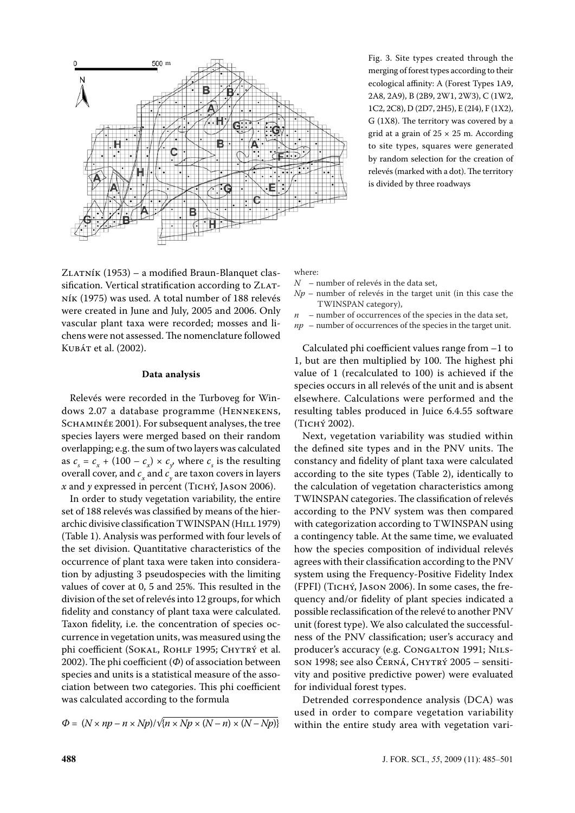

Fig. 3. Site types created through the merging of forest types according to their ecological affinity: A (Forest Types 1A9, 2A8, 2A9), B (2B9, 2W1, 2W3), C (1W2, 1C2, 2C8), D (2D7, 2H5), E (2I4), F (1X2), G (1X8). The territory was covered by a grid at a grain of  $25 \times 25$  m. According to site types, squares were generated by random selection for the creation of relevés (marked with a dot). The territory is divided by three roadways

Zlatník (1953) – a modified Braun-Blanquet classification. Vertical stratification according to ZLATník (1975) was used. A total number of 188 relevés were created in June and July, 2005 and 2006. Only vascular plant taxa were recorded; mosses and lichens were not assessed. The nomenclature followed Kubát et al. (2002).

#### **Data analysis**

Relevés were recorded in the Turboveg for Windows 2.07 a database programme (HENNEKENS, SCHAMINÉE 2001). For subsequent analyses, the tree species layers were merged based on their random overlapping; e.g. the sum of two layers was calculated as  $c_s = c_x + (100 - c_x) \times c_y$ , where  $c_s$  is the resulting overall cover, and  $c_x$  and  $c_y$  are taxon covers in layers *x* and *y* expressed in percent (Tichý, Jason 2006).

In order to study vegetation variability, the entire set of 188 relevés was classified by means of the hierarchic divisive classification TWINSPAN (HILL 1979) (Table 1). Analysis was performed with four levels of the set division. Quantitative characteristics of the occurrence of plant taxa were taken into consideration by adjusting 3 pseudospecies with the limiting values of cover at 0, 5 and 25%. This resulted in the division of the set of relevés into 12 groups, for which fidelity and constancy of plant taxa were calculated. Taxon fidelity, i.e. the concentration of species occurrence in vegetation units, was measured using the phi coefficient (SOKAL, ROHLF 1995; CHYTRÝ et al. 2002). The phi coefficient (*Φ*) of association between species and units is a statistical measure of the association between two categories. This phi coefficient was calculated according to the formula

$$
\Phi = (N \times np - n \times Np) / \sqrt{n \times Np \times (N - n) \times (N - Np)}
$$

where:

- *N* number of relevés in the data set,
- *Np* number of relevés in the target unit (in this case the TWINSPAN category),
- $n$  number of occurrences of the species in the data set,
- *np* number of occurrences of the species in the target unit.

Calculated phi coefficient values range from –1 to 1, but are then multiplied by 100. The highest phi value of 1 (recalculated to 100) is achieved if the species occurs in all relevés of the unit and is absent elsewhere. Calculations were performed and the resulting tables produced in Juice 6.4.55 software (Tichý 2002).

Next, vegetation variability was studied within the defined site types and in the PNV units. The constancy and fidelity of plant taxa were calculated according to the site types (Table 2), identically to the calculation of vegetation characteristics among TWINSPAN categories. The classification of relevés according to the PNV system was then compared with categorization according to TWINSPAN using a contingency table. At the same time, we evaluated how the species composition of individual relevés agrees with their classification according to the PNV system using the Frequency-Positive Fidelity Index (FPFI) (Tichý, Jason 2006). In some cases, the frequency and/or fidelity of plant species indicated a possible reclassification of the relevé to another PNV unit (forest type). We also calculated the successfulness of the PNV classification; user's accuracy and producer's accuracy (e.g. CONGALTON 1991; NILSson 1998; see also ČERNÁ, CHYTRÝ 2005 – sensitivity and positive predictive power) were evaluated for individual forest types.

Detrended correspondence analysis (DCA) was used in order to compare vegetation variability within the entire study area with vegetation vari-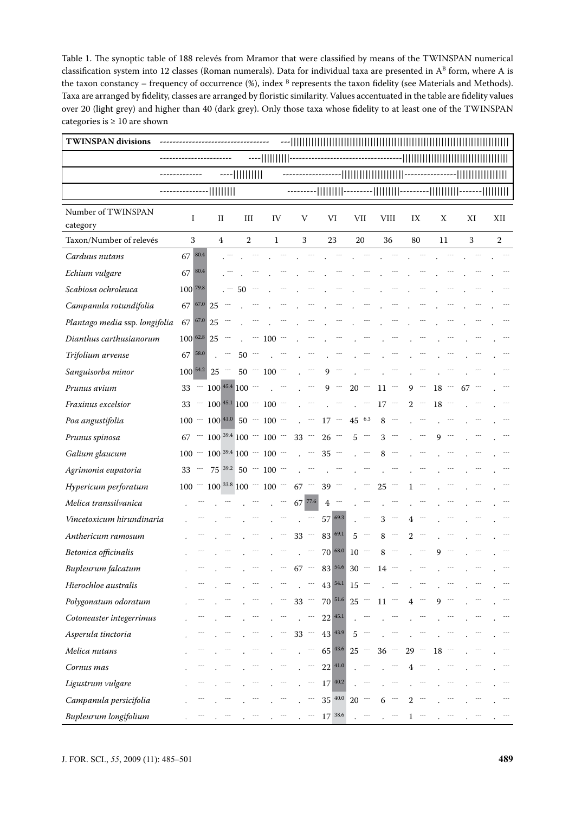Table 1. The synoptic table of 188 relevés from Mramor that were classified by means of the TWINSPAN numerical classification system into 12 classes (Roman numerals). Data for individual taxa are presented in  $A^B$  form, where A is the taxon constancy – frequency of occurrence  $(\%)$ , index  $B$  represents the taxon fidelity (see Materials and Methods). Taxa are arranged by fidelity, classes are arranged by floristic similarity. Values accentuated in the table are fidelity values over 20 (light grey) and higher than 40 (dark grey). Only those taxa whose fidelity to at least one of the TWINSPAN categories is  $\geq 10$  are shown

| <b>TWINSPAN divisions</b>      |                 |                                        |                |     |                |                                    |                            |                                     |                    |            |                            |               |               |                |       |        |       |    |    |                |  |
|--------------------------------|-----------------|----------------------------------------|----------------|-----|----------------|------------------------------------|----------------------------|-------------------------------------|--------------------|------------|----------------------------|---------------|---------------|----------------|-------|--------|-------|----|----|----------------|--|
|                                |                 |                                        |                |     | ----         - |                                    |                            |                                     |                    |            |                            |               |               |                |       |        |       |    |    |                |  |
|                                |                 |                                        | ----           |     |                |                                    |                            |                                     |                    |            |                            | -             |               |                |       |        |       |    |    |                |  |
|                                |                 | -                                      |                |     |                |                                    |                            |                                     |                    |            |                            |               |               |                |       |        |       |    |    |                |  |
| Number of TWINSPAN<br>category | I               | $_{\rm II}$                            | III            |     | IV             |                                    | V                          |                                     | VI                 | VII        |                            | <b>VIII</b>   |               | IX             |       | Χ      |       |    | XI | XII            |  |
| Taxon/Number of relevés        | 3               | 4                                      | $\overline{2}$ |     | $\mathbf{1}$   |                                    | 3                          |                                     | 23                 |            | 20                         | 36            |               | 80             |       | 11     |       |    | 3  | $\overline{2}$ |  |
| Carduus nutans                 | 67 80.4         |                                        |                |     |                |                                    |                            |                                     |                    |            |                            |               |               |                |       |        |       |    |    |                |  |
| Echium vulgare                 | 80.4<br>67      |                                        |                |     |                |                                    |                            |                                     |                    |            |                            |               |               |                |       |        |       |    |    |                |  |
| Scabiosa ochroleuca            | 100 79.8        |                                        | 50             |     |                |                                    |                            |                                     |                    |            |                            |               |               |                |       |        |       |    |    |                |  |
| Campanula rotundifolia         |                 | $67^{67.0}$ 25 $-$                     |                |     |                |                                    |                            |                                     |                    |            |                            |               |               |                |       |        |       |    |    |                |  |
| Plantago media ssp. longifolia | 67 67.0 25      |                                        |                |     |                |                                    |                            |                                     |                    |            |                            |               |               |                |       |        |       |    |    |                |  |
| Dianthus carthusianorum        | $100^{62.8}$ 25 |                                        |                | 777 | $100 -$        |                                    |                            |                                     |                    |            |                            |               |               |                |       |        |       |    |    |                |  |
| Trifolium arvense              | 67 58.0         |                                        | $50 -$         |     |                |                                    |                            |                                     |                    |            |                            |               |               |                |       |        |       |    |    |                |  |
| Sanguisorba minor              |                 | $100^{54.2}$ 25 $\cdots$               |                |     | $50 - 100 -$   |                                    |                            | 9                                   |                    |            |                            |               |               |                |       |        |       |    |    |                |  |
| Prunus avium                   |                 | $33 - 100^{45.4} 100 - 1$              |                |     |                |                                    |                            | $\sim$                              | $9 -$              | $20 -$     |                            | $11\,$ $^{-}$ |               |                | $9 -$ | $18 -$ |       | 67 |    |                |  |
| Fraxinus excelsior             |                 | $33 - 100 + 5.11 + 100 - 100$          |                |     |                |                                    | $\sim$                     |                                     | $\ddotsc$          |            | $\sim$                     | $17 -$        |               |                | $2 -$ | $18 -$ |       |    |    |                |  |
| Poa angustifolia               |                 | $100 - 100 + 100 - 50 - 100 -$         |                |     |                |                                    | $\mathcal{L}^{\text{max}}$ |                                     | $17\,$ $^{-1}$     | $45$ $6.3$ |                            |               | $8 -$         |                |       |        |       |    |    |                |  |
| Prunus spinosa                 |                 | $67$ $-$ 100 $^{39.4}$ 100 $-$ 100 $-$ |                |     |                |                                    | $33 -$                     |                                     | $26 -$             |            | $5 -$                      | 3             |               |                |       | 9      |       |    |    |                |  |
| Galium glaucum                 |                 | $100 - 100$ 39.4 $100 - 100$ -         |                |     |                |                                    |                            |                                     | $35 -$             |            |                            | 8             |               |                |       |        |       |    |    |                |  |
| Agrimonia eupatoria            |                 | 33 $-$ 75 $39.2$ 50 $-$ 100 $-$        |                |     |                |                                    | $\ddot{\phantom{0}}$       |                                     |                    |            |                            |               |               |                |       |        |       |    |    |                |  |
| Hypericum perforatum           |                 | $100 - 100$ 33.8 $100 - 100$ $-$       |                |     |                |                                    | $67 -$                     |                                     | $39 -$             |            |                            | $25 -$        |               |                |       |        |       |    |    |                |  |
| Melica transsilvanica          |                 |                                        |                |     |                | $\ddot{\phantom{0}}$               | 67 77.6                    |                                     | $4 -$              |            |                            |               |               |                |       |        |       |    |    |                |  |
| Vincetoxicum hirundinaria      |                 |                                        |                |     |                |                                    | $\ddotsc$                  |                                     | 57 69.3            |            | $\cdots$                   | 3             |               | 4              |       |        |       |    |    |                |  |
| Anthericum ramosum             |                 |                                        |                |     |                |                                    | $33$ –                     |                                     | 83 69.1            |            | $5 -$                      |               | $8 -$         | $\mathbf{2}^-$ |       |        |       |    |    |                |  |
| Betonica officinalis           |                 |                                        |                |     |                |                                    | $\sim$                     |                                     | 70 68.0            | $10 -$     |                            |               | $8 -$         |                |       | 9      |       |    |    |                |  |
| Bupleurum falcatum             |                 |                                        |                |     |                | $-$ 67 $-$ 83 $54.6$ 30 $-$ 14 $-$ |                            |                                     |                    |            |                            |               |               |                |       |        |       |    |    |                |  |
| Hierochloe australis           |                 |                                        |                |     |                |                                    |                            | $-$ 43 $54.1$ 15 $-$                |                    |            |                            |               |               |                |       |        |       |    |    |                |  |
| Polygonatum odoratum           |                 |                                        |                |     |                | $\sim$                             |                            | $33 - 70$ <sup>51.6</sup> $25 - 11$ |                    |            |                            |               |               |                | $4 -$ |        | $9 -$ |    |    |                |  |
| Cotoneaster integerrimus       |                 |                                        |                |     |                |                                    |                            | eee i                               | $22^{45.1}$        |            |                            |               |               |                |       |        |       |    |    |                |  |
| Asperula tinctoria             |                 |                                        |                |     |                |                                    |                            | $33 - 43$ <sup>43.9</sup>           |                    | $5 -$      |                            |               |               |                |       |        |       |    |    |                |  |
| Melica nutans                  |                 |                                        |                |     |                |                                    |                            | $\cdot$ - 65 43.6 25 - 36 - 29 -    |                    |            |                            |               |               |                |       | 18     |       |    |    |                |  |
| Cornus mas                     |                 |                                        |                |     |                |                                    |                            | $-22^{41.0}$                        |                    |            |                            |               |               |                |       |        |       |    |    |                |  |
| Ligustrum vulgare              |                 |                                        |                |     |                |                                    |                            | $-17^{40.2}$                        |                    |            | $\mathcal{L}^{\text{max}}$ |               |               |                |       |        |       |    |    |                |  |
| Campanula persicifolia         |                 |                                        |                |     |                |                                    | ÷÷÷                        |                                     | $35^{40.0}$ 20 $-$ |            |                            |               |               |                |       |        |       |    |    |                |  |
| Bupleurum longifolium          |                 |                                        |                |     |                | $\sim$                             | $\sim$ $\sim$ $\sim$       |                                     | 17 38.6            |            | $\sim$ 100 $\pm$           |               | $\sim$ $\sim$ |                | $1 -$ |        |       |    |    |                |  |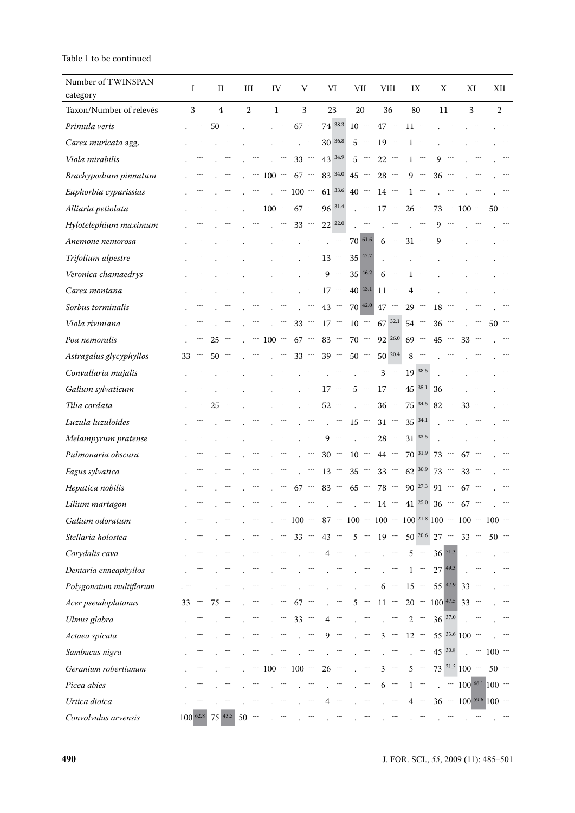# Table 1 to be continued

| Number of TWINSPAN      | I                         |           | П      | III            |               | IV                 |                          | V                   |                            | VI           |                            | VII                                                                      |                             | VIII                                                                                                                          |                            | IX                        |                             | Χ                        |                             | ΧI                                    | ХII                  |  |
|-------------------------|---------------------------|-----------|--------|----------------|---------------|--------------------|--------------------------|---------------------|----------------------------|--------------|----------------------------|--------------------------------------------------------------------------|-----------------------------|-------------------------------------------------------------------------------------------------------------------------------|----------------------------|---------------------------|-----------------------------|--------------------------|-----------------------------|---------------------------------------|----------------------|--|
| category                |                           |           |        |                |               |                    |                          |                     |                            |              |                            |                                                                          |                             |                                                                                                                               |                            |                           |                             |                          |                             |                                       |                      |  |
| Taxon/Number of relevés | 3                         |           | 4      | $\overline{2}$ |               | $\mathbf{1}$       |                          | 3                   |                            | 23           |                            | 20                                                                       |                             | 36                                                                                                                            |                            | 80                        |                             | 11                       |                             | 3                                     | 2                    |  |
| Primula veris           |                           | $\ddotsc$ | $50 -$ |                | $\sim$ $\sim$ |                    |                          | $67 -$              |                            |              |                            | $74^{38.3}$ 10 $-$ 47 $-$                                                |                             |                                                                                                                               |                            | $11 -$                    |                             |                          | $\mathbb{R}^{\mathbb{Z}^2}$ |                                       |                      |  |
| Carex muricata agg.     |                           |           |        |                |               |                    |                          |                     | $\mathcal{L}^{\text{max}}$ |              | 30 36.8                    | $5 -$                                                                    |                             | $19 -$                                                                                                                        |                            |                           | $1 -$                       |                          |                             |                                       |                      |  |
| Viola mirabilis         |                           |           |        |                |               |                    |                          | $33 -$              |                            | 43 34.9      |                            | $5 -$                                                                    |                             | $22 -$                                                                                                                        |                            | $\mathbf{1}$              | $\rightarrow$ $\rightarrow$ | 9                        |                             |                                       |                      |  |
| Brachypodium pinnatum   |                           |           |        |                |               | $-$ 100 $-$ 67 $-$ |                          |                     |                            |              |                            | $83^{34.0}$ 45 $\cdots$                                                  |                             | $28 -$                                                                                                                        |                            |                           | $9 -$                       | $36 -$                   |                             |                                       |                      |  |
| Euphorbia cyparissias   |                           |           |        |                |               |                    |                          | $\cdot$ $-$ 100 $-$ |                            |              |                            | $61^{33.6}$ 40 $-$                                                       |                             | $14 -$                                                                                                                        |                            |                           | $1 -$                       |                          |                             |                                       |                      |  |
| Alliaria petiolata      |                           |           |        |                |               | $100 - 67 -$       |                          |                     |                            | 96 31.4      |                            | $\mathcal{L}^{\text{max}}$                                               |                             | $17 -$                                                                                                                        |                            | $26 -$                    |                             | $73 -$                   |                             | 100                                   | 50                   |  |
| Hylotelephium maximum   |                           |           |        |                |               |                    |                          | $33 -$              |                            | 22 22.0      |                            |                                                                          |                             | $\mathcal{L}$ and $\mathcal{L}$                                                                                               |                            |                           | $\ddotsc$                   | $9 -$                    |                             |                                       |                      |  |
| Anemone nemorosa        |                           |           |        |                |               |                    |                          |                     |                            | $\mathbf{r}$ | $\sim$ $\sim$              | 70 61.6                                                                  |                             | $6 -$                                                                                                                         |                            | $31 -$                    |                             | 9                        |                             |                                       |                      |  |
| Trifolium alpestre      |                           |           |        |                |               |                    |                          |                     | $\mathcal{L}^{\text{max}}$ |              |                            | $13 \sim 35 \vert 47.7 \vert$                                            |                             |                                                                                                                               |                            |                           |                             |                          |                             |                                       |                      |  |
| Veronica chamaedrys     |                           |           |        |                |               |                    |                          |                     | ---                        |              | $9 -$                      | $35^{46.2}$                                                              |                             | $6 -$                                                                                                                         |                            | $\mathbf{1}$              | $\sim$ $\sim$               |                          |                             |                                       |                      |  |
| Carex montana           |                           |           |        |                |               |                    |                          |                     | $\cdot$ $-$                |              |                            | $17 - 40$ <sup>43.1</sup>                                                |                             | $11 -$                                                                                                                        |                            | 4                         | $\sim$ $\sim$ $\sim$        |                          |                             |                                       |                      |  |
| Sorbus torminalis       |                           |           |        |                |               |                    |                          |                     | $\sim$                     | $43 -$       |                            | 70 42.0                                                                  |                             | $47 -$                                                                                                                        |                            | $29 -$                    |                             | 18                       |                             |                                       |                      |  |
| Viola riviniana         |                           |           |        |                |               |                    |                          | $33 -$              |                            | $17 -$       |                            | $10 - 67$ 32.1 54 $-$                                                    |                             |                                                                                                                               |                            |                           |                             | $36 -$                   |                             |                                       | 50.                  |  |
| Poa nemoralis           |                           |           | $25 -$ |                |               | $. -100 - 67 -$    |                          |                     |                            |              |                            | $83 - 70 -$                                                              |                             |                                                                                                                               |                            | $92^{26.0}$ 69 $-$        |                             | $45 -$                   |                             | $33 -$                                |                      |  |
| Astragalus glycyphyllos | 33                        |           | $50 -$ |                |               |                    |                          | 33                  |                            | $39 -$       |                            | $50 -$                                                                   |                             | $50^{20.4}$                                                                                                                   |                            | 8                         | $\sim$                      |                          |                             |                                       |                      |  |
| Convallaria majalis     |                           |           |        |                |               |                    |                          |                     | $\sim$                     | $\mathbf{r}$ | $\sim$                     | $\mathbf{r}$                                                             | $\sim$                      | $\mathbf{3}$                                                                                                                  | $\sim$                     |                           | 19 38.5                     |                          | $\rightarrow$               |                                       |                      |  |
| Galium sylvaticum       |                           |           |        |                |               |                    |                          |                     |                            | $17 -$       |                            | $5 -$                                                                    |                             | $17$ $-$                                                                                                                      |                            |                           | $45^{35.1}$                 | $36 -$                   |                             |                                       |                      |  |
| Tilia cordata           |                           |           | $25 -$ |                |               |                    |                          | $\mathbf{r}$        | $\ddot{\phantom{a}}$       | $52 -$       |                            | $\mathcal{L}^{\text{max}}$                                               |                             | $36 -$                                                                                                                        |                            |                           | 75 34.5                     | $82 -$                   |                             | $33 -$                                |                      |  |
| Luzula luzuloides       |                           |           |        |                |               |                    |                          |                     |                            |              | $\mathcal{L}^{\text{max}}$ | $15 -$                                                                   |                             |                                                                                                                               |                            | $31 - 35$ <sup>34.1</sup> |                             |                          |                             |                                       |                      |  |
| Melampyrum pratense     |                           |           |        |                |               |                    |                          |                     |                            |              | $9 -$                      |                                                                          | $\sim$                      | $28 -$                                                                                                                        |                            |                           | 31 33.5                     |                          |                             |                                       |                      |  |
| Pulmonaria obscura      |                           |           |        |                |               |                    |                          |                     | $\rightarrow$              |              |                            | $30 - 10 -$                                                              |                             | 44                                                                                                                            |                            |                           |                             | $70^{31.9}$ 73 $-$       |                             | 67                                    |                      |  |
| Fagus sylvatica         |                           |           |        |                |               |                    |                          |                     | $\sim$                     | $13 -$       |                            | $35 -$                                                                   |                             | $33 -$                                                                                                                        |                            | $62^{30.9}$ 73 $-$        |                             |                          |                             | $33 -$                                |                      |  |
| Hepatica nobilis        |                           |           |        |                |               |                    |                          | $67 -$              |                            |              |                            | $83 - 65 -$                                                              |                             | $78$ $-$                                                                                                                      |                            |                           |                             | $90^{27.3}$ 91 $\cdots$  |                             | $67 -$                                |                      |  |
| Lilium martagon         |                           |           |        |                |               |                    |                          | $\sim$ $^{-1}$      |                            |              | $\sim$ $\sim$ $\sim$       |                                                                          |                             | $\cdot$ - 14 - 41 $^{25.0}$ 36 - 67 -                                                                                         |                            |                           |                             |                          |                             |                                       |                      |  |
| Galium odoratum         |                           |           |        |                |               |                    |                          |                     |                            |              |                            | . -- 100 -- 87 -- 100 -- 100 -- 100 <sup>21.8</sup> 100 -- 100 -- 100 -- |                             |                                                                                                                               |                            |                           |                             |                          |                             |                                       |                      |  |
| Stellaria holostea      |                           |           |        |                |               |                    |                          | $-33 - 43 -$        |                            |              |                            |                                                                          |                             | $5 - 19 - 50^{20.6}$ 27 - 33 -                                                                                                |                            |                           |                             |                          |                             |                                       |                      |  |
| Corydalis cava          |                           |           |        |                |               |                    |                          |                     | $\mathcal{C}^{\text{max}}$ |              | $4 -$                      |                                                                          |                             | $\frac{1}{2}$ - $\frac{1}{2}$ - $\frac{1}{2}$ - $\frac{1}{2}$ - $\frac{1}{2}$ - $\frac{1}{2}$ - $\frac{1}{2}$ - $\frac{1}{2}$ |                            |                           |                             |                          |                             |                                       |                      |  |
| Dentaria enneaphyllos   |                           |           |        |                |               |                    |                          |                     |                            |              |                            |                                                                          |                             |                                                                                                                               | $\sim$                     |                           |                             | $1 - 27$ <sup>49.3</sup> |                             |                                       |                      |  |
| Polygonatum multiflorum |                           |           |        |                |               |                    |                          |                     | $\overline{\phantom{a}}$   |              | $\mathcal{P}^{\text{max}}$ | $\mathcal{L}^{(1)}$                                                      |                             |                                                                                                                               |                            |                           |                             |                          |                             | $6 - 15 - 55$ 47.9 33 -               |                      |  |
| Acer pseudoplatanus     |                           |           |        |                |               |                    | m,                       |                     |                            | $67 - 1 -$   |                            |                                                                          |                             | $5 - 11 - 20 - 100$ 47.5 33 -                                                                                                 |                            |                           |                             |                          |                             |                                       |                      |  |
| Ulmus glabra            |                           |           |        |                |               |                    | $\overline{\phantom{a}}$ | $33 -$              |                            | $4 -$        |                            |                                                                          | $\overline{\phantom{a}}$    |                                                                                                                               | m.                         |                           |                             | $2 - 36^{37.0}$          |                             |                                       |                      |  |
| Actaea spicata          |                           |           |        |                |               |                    |                          |                     | 77                         |              | $9 -$                      |                                                                          | $\overline{\phantom{a}}$    |                                                                                                                               |                            |                           |                             |                          |                             | $3 - 12 - 55^{33.6}100 -$             |                      |  |
| Sambucus nigra          |                           |           |        |                |               |                    |                          |                     |                            |              |                            |                                                                          |                             |                                                                                                                               |                            |                           |                             | $45^{30.8}$              |                             |                                       | $\therefore$ - 100 - |  |
| Geranium robertianum    |                           |           |        |                |               | $-100 - 100 -$     |                          |                     |                            | $26 -$       |                            |                                                                          | $\mathbb{R}^{n \times m}$ . | $3 -$                                                                                                                         |                            |                           |                             |                          |                             | $5 - 73^{21.5}100 - 50$               |                      |  |
| Picea abies             |                           |           |        |                |               |                    |                          |                     |                            |              |                            |                                                                          | т.                          | $6 -$                                                                                                                         |                            |                           | $1 - \cdots$                |                          |                             | $\sim$ 100 <sup>66.1</sup> 100 $\sim$ |                      |  |
| Urtica dioica           |                           |           |        |                |               |                    |                          |                     |                            |              | $\overline{\phantom{a}}$   |                                                                          | $\overline{\phantom{a}}$    |                                                                                                                               | $\mathcal{L}^{\text{max}}$ |                           | $4 -$                       |                          |                             | $36 - 100^{59.6} 100 -$               |                      |  |
| Convolvulus arvensis    | $100^{62.8}$ 75 $43.5$ 50 |           |        |                |               |                    |                          |                     |                            |              |                            |                                                                          |                             |                                                                                                                               |                            |                           |                             |                          |                             |                                       |                      |  |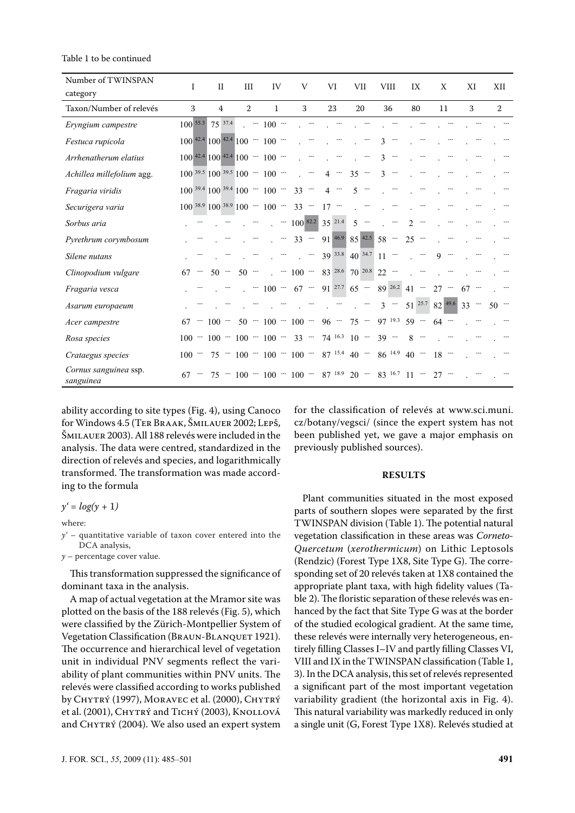#### Table 1 to be continued

| Number of TWINSPAN                 | Ι       | $_{\rm II}$                             | III    | IV                       | V                                                  | VI          | VII                         | <b>VIII</b> | IX                       | X                              | XI     | XII    |
|------------------------------------|---------|-----------------------------------------|--------|--------------------------|----------------------------------------------------|-------------|-----------------------------|-------------|--------------------------|--------------------------------|--------|--------|
| category                           |         |                                         |        |                          |                                                    |             |                             |             |                          |                                |        |        |
| Taxon/Number of relevés            | 3       | 4                                       | 2      | $\mathbf{1}$             | 3                                                  | 23          | 20                          | 36          | 80                       | 11                             | 3      | 2      |
| Eryngium campestre                 |         | $100^{55.3}$ 75 37.4                    |        | $\sim$ - 100 -           |                                                    |             |                             |             |                          |                                |        |        |
| Festuca rupicola                   |         | $100^{42.4}$ $100^{42.4}$ $100 - 100 -$ |        |                          |                                                    |             |                             | 3           |                          |                                |        |        |
| Arrhenatherum elatius              |         | $100^{42.4}$ $100^{42.4}$ $100 - 100 -$ |        |                          |                                                    |             |                             | 3           |                          |                                |        |        |
| Achillea millefolium agg.          |         | $100^{39.5}$ $100^{39.5}$ $100 - 100 -$ |        |                          |                                                    | $\sim$<br>4 | 35<br>$\sim$                | 3           |                          |                                |        |        |
| Fragaria viridis                   |         | $100^{39.4}$ $100^{39.4}$ $100 - 100 -$ |        |                          | $33 -$                                             | $4 -$       | 5                           |             |                          |                                |        |        |
| Securigera varia                   |         | $100^{38.9}$ $100^{38.9}$ $100 - 100 -$ |        |                          | $33 -$                                             | $17 -$      |                             |             |                          |                                |        |        |
| Sorbus aria                        |         |                                         |        |                          | $\cdot$ - 100 82.2 35 21.4                         |             | $5 -$                       |             | 2                        |                                |        |        |
| Pyrethrum corymbosum               |         |                                         |        | $\overline{\phantom{a}}$ |                                                    |             | $33 - 91$ 46.9 85 42.5 58 - |             | $25 -$                   |                                |        |        |
| Silene nutans                      |         |                                         |        |                          | $-$ 39 33.8 40 34.7 11 -                           |             |                             |             | $\sim$                   | 9<br>$\overline{\phantom{a}}$  |        |        |
| Clinopodium vulgare                | 67      | 50<br>$\overline{\phantom{a}}$          | $50 -$ |                          | $\cdot$ - 100 - 83 28.6 70 20.8 22 -               |             |                             |             |                          |                                |        |        |
| Fragaria vesca                     |         |                                         |        |                          | $100 - 67 - 91$ 27.7 65                            |             |                             | 89 26.2 41  | $\hspace{0.05cm} \cdots$ | 27<br>$\overline{\phantom{a}}$ | $67 -$ |        |
| Asarum europaeum                   |         |                                         |        |                          | a provincia de la contrata della con-              |             | $\mathcal{L}^{\text{max}}$  |             |                          | $3 - 51^{25.7} 82^{49.6} 33 -$ |        | $50 -$ |
| Acer campestre                     | 67      | $100 -$                                 |        |                          | $50 - 100 - 100 - 96 - 75 - 97$ 19.3 59 -          |             |                             |             |                          | 64<br>$\hspace{0.05cm} \cdots$ |        |        |
| Rosa species                       |         |                                         |        |                          | $100 - 100 - 100 - 100 - 33 - 74$ 16.3 10 -        |             |                             | $39 -$      | 8                        |                                |        |        |
| Crataegus species                  | $100 -$ |                                         |        |                          | $75 - 100 - 100 - 100 - 87$ 15.4 40 - 86 14.9 40 - |             |                             |             |                          | 18                             |        |        |
| Cornus sanguinea ssp.<br>sanguinea | 67      |                                         |        |                          | $75 - 100 - 100 - 100 - 87$ 18.9 20 - 83 16.7 11 - |             |                             |             |                          | $27 -$                         |        |        |

ability according to site types (Fig. 4), using Canoco for Windows 4.5 (Ter Braak, Šmilauer 2002; Lepš, Šmilauer 2003). All 188 relevés were included in the analysis. The data were centred, standardized in the direction of relevés and species, and logarithmically transformed. The transformation was made according to the formula

$$
y'=log(y+1)
$$

where:

*y'* – quantitative variable of taxon cover entered into the DCA analysis,

*y* – percentage cover value.

This transformation suppressed the significance of dominant taxa in the analysis.

A map of actual vegetation at the Mramor site was plotted on the basis of the 188 relevés (Fig. 5), which were classified by the Zürich-Montpellier System of Vegetation Classification (BRAUN-BLANQUET 1921). The occurrence and hierarchical level of vegetation unit in individual PNV segments reflect the variability of plant communities within PNV units. The relevés were classified according to works published by CHYTRÝ (1997), MORAVEC et al. (2000), CHYTRÝ et al. (2001), CHYTRÝ and TICHÝ (2003), KNOLLOVÁ and CHYTRÝ (2004). We also used an expert system

for the classification of relevés at www.sci.muni. cz/botany/vegsci/ (since the expert system has not been published yet, we gave a major emphasis on previously published sources).

#### **RESULTS**

Plant communities situated in the most exposed parts of southern slopes were separated by the first TWINSPAN division (Table 1). The potential natural vegetation classification in these areas was *Corneto-Quercetum* (*xerothermicum*) on Lithic Leptosols (Rendzic) (Forest Type 1X8, Site Type G). The corresponding set of 20 relevés taken at 1X8 contained the appropriate plant taxa, with high fidelity values (Table 2). The floristic separation of these relevés was enhanced by the fact that Site Type G was at the border of the studied ecological gradient. At the same time, these relevés were internally very heterogeneous, entirely filling Classes I–IV and partly filling Classes VI, VIII and IX in the TWINSPAN classification (Table 1, 3). In the DCA analysis, this set of relevés represented a significant part of the most important vegetation variability gradient (the horizontal axis in Fig. 4). This natural variability was markedly reduced in only a single unit (G, Forest Type 1X8). Relevés studied at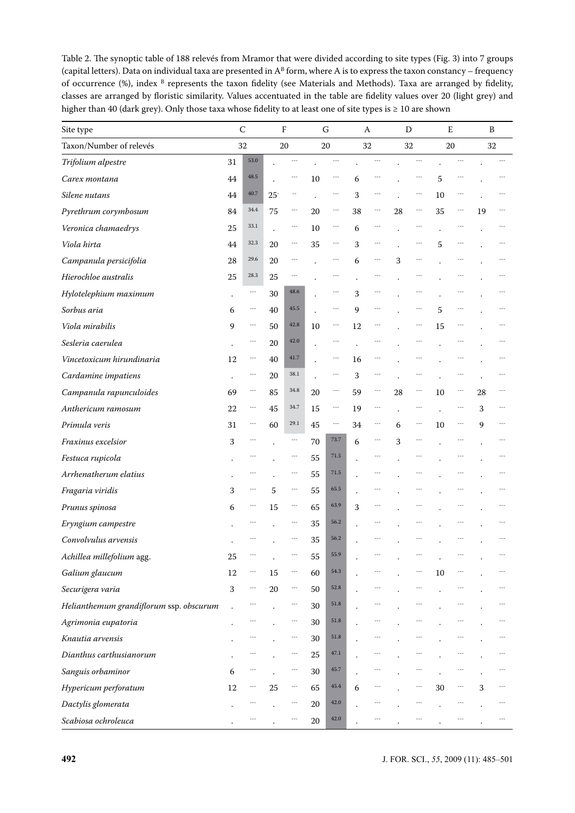Table 2. The synoptic table of 188 relevés from Mramor that were divided according to site types (Fig. 3) into 7 groups (capital letters). Data on individual taxa are presented in  $A^B$  form, where A is to express the taxon constancy – frequency of occurrence (%), index <sup>B</sup> represents the taxon fidelity (see Materials and Methods). Taxa are arranged by fidelity, classes are arranged by floristic similarity. Values accentuated in the table are fidelity values over 20 (light grey) and higher than 40 (dark grey). Only those taxa whose fidelity to at least one of site types is ≥ 10 are shown

| Site type                               |                      | $\mathsf{C}$ |                      | $\rm F$                  | ${\mathsf G}$ |                          |    | A         | D  |    | E  |                      |    | B  |
|-----------------------------------------|----------------------|--------------|----------------------|--------------------------|---------------|--------------------------|----|-----------|----|----|----|----------------------|----|----|
| Taxon/Number of relevés                 |                      | 32           |                      | 20                       |               | 20                       |    | 32        |    | 32 | 20 |                      |    | 32 |
| Trifolium alpestre                      | 31                   | 53.0         |                      |                          |               |                          |    |           |    |    |    |                      |    |    |
| Carex montana                           | 44                   | 48.5         |                      |                          | 10            |                          | 6  |           |    |    | 5  |                      |    |    |
| Silene nutans                           | 44                   | 40.7         | $25 -$               |                          |               |                          | 3  |           |    |    | 10 |                      |    |    |
| Pyrethrum corymbosum                    | 84                   | 34.4         | 75                   | $\overline{\phantom{a}}$ | 20            | ---                      | 38 | ---       | 28 |    | 35 | ---                  | 19 |    |
| Veronica chamaedrys                     | 25                   | 33.1         | $\ddot{\phantom{0}}$ | $\cdots$                 | 10            | $\cdots$                 | 6  | $\cdots$  |    |    |    |                      |    |    |
| Viola hirta                             | 44                   | 32.3         | 20                   | $\overline{\phantom{a}}$ | 35            | $\cdots$                 | 3  | $\cdots$  |    |    | 5  | $- - -$              |    |    |
| Campanula persicifolia                  | 28                   | 29.6         | 20                   | $\cdots$                 |               |                          | 6  | $\cdots$  | 3  |    |    |                      |    |    |
| Hierochloe australis                    | 25                   | 28.3         | 25                   |                          |               |                          |    |           |    |    |    |                      |    |    |
| Hylotelephium maximum                   | $\bullet$            | ---          | 30                   | 48.6                     |               |                          | 3  |           |    |    |    |                      |    |    |
| Sorbus aria                             | 6                    | ---          | 40                   | 45.5                     |               |                          | 9  |           |    |    | 5  |                      |    |    |
| Viola mirabilis                         | 9                    | ---          | 50                   | 42.8                     | 10            | $\cdots$                 | 12 | $- - -$   |    |    | 15 | $\sim$ $\sim$ $\sim$ |    |    |
| Sesleria caerulea                       | $\ddot{\phantom{a}}$ | ---          | 20                   | 42.0                     |               | ---                      |    | ---       |    |    |    | ---                  |    |    |
| Vincetoxicum hirundinaria               | 12                   | ---          | 40                   | 41.7                     |               |                          | 16 |           |    |    |    |                      |    |    |
| Cardamine impatiens                     |                      | ---          | 20                   | 38.1                     |               | ---                      | 3  | ---       |    |    |    |                      |    |    |
| Campanula rapunculoides                 | 69                   | ---          | 85                   | 34.8                     | 20            | $\overline{\phantom{a}}$ | 59 | $\ddotsc$ | 28 |    | 10 |                      | 28 |    |
| Anthericum ramosum                      | 22                   | ---          | 45                   | 34.7                     | 15            |                          | 19 | ---       |    |    |    |                      | 3  |    |
| Primula veris                           | 31                   | ---          | 60                   | 29.1                     | 45            | $\cdots$                 | 34 | ---       | 6  |    | 10 | $\cdots$             | 9  |    |
| Fraxinus excelsior                      | 3                    | ---          |                      | $\cdots$                 | 70            | 73.7                     | 6  | $\cdots$  | 3  |    |    | $- - -$              |    |    |
| Festuca rupicola                        |                      |              |                      | $\cdots$                 | 55            | 71.5                     |    | ---       |    |    |    |                      |    |    |
| Arrhenatherum elatius                   |                      |              |                      | $\cdots$                 | 55            | 71.5                     |    |           |    |    |    |                      |    |    |
| Fragaria viridis                        | 3                    |              | 5                    | $\cdots$                 | 55            | 65.5                     |    |           |    |    |    |                      |    |    |
| Prunus spinosa                          | 6                    |              | 15                   | $-$                      | 65            | 63.9                     | 3  |           |    |    |    |                      |    |    |
| Eryngium campestre                      |                      |              |                      | $\cdots$                 | 35            | 56.2                     |    |           |    |    |    |                      |    |    |
| Convolvulus arvensis                    |                      |              |                      | $- - -$                  | 35            | 56.2                     |    |           |    |    |    |                      |    |    |
| Achillea millefolium agg.               | 25                   |              |                      | $\overline{\phantom{a}}$ | 55            | 55.9                     |    |           |    |    |    |                      |    |    |
| Galium glaucum                          | 12                   | ---          | 15                   | $\sim$ $\sim$            | 60            | 54.3                     |    |           |    |    | 10 |                      |    |    |
| Securigera varia                        | 3                    | $\cdots$     | 20                   | $\cdots$                 | 50            | 52.8                     |    |           |    |    |    |                      |    |    |
| Helianthemum grandiflorum ssp. obscurum |                      |              |                      |                          | 30            | 51.8                     |    |           |    |    |    |                      |    |    |
| Agrimonia eupatoria                     | $\bullet$            |              |                      | ---                      | 30            | 51.8                     |    |           |    |    |    |                      |    |    |
| Knautia arvensis                        |                      |              |                      | $\overline{\phantom{a}}$ | 30            | 51.8                     |    |           |    |    |    |                      |    |    |
| Dianthus carthusianorum                 |                      |              |                      | $\cdots$                 | 25            | 47.1                     |    |           |    |    |    |                      |    |    |
| Sanguis orbaminor                       | 6                    | ---          |                      | $\cdots$                 | 30            | 45.7                     |    |           |    |    |    |                      |    |    |
| Hypericum perforatum                    | 12                   |              | 25                   | $\overline{\phantom{a}}$ | 65            | 45.4                     | 6  |           |    |    | 30 |                      | 3  |    |
| Dactylis glomerata                      |                      |              |                      |                          | $20\,$        | 42.0                     |    |           |    |    |    |                      |    |    |
| Scabiosa ochroleuca                     |                      |              |                      |                          | 20            | 42.0                     |    |           |    |    |    |                      |    |    |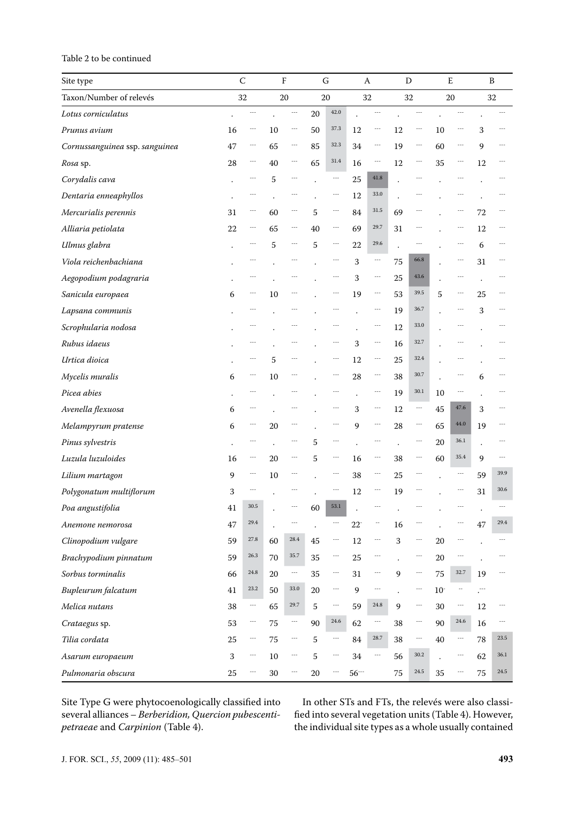## Table 2 to be continued

| Site type                      |                      | $\mathsf C$              |                      | $\rm F$                  | G                    |                          |        | A                        |                      | D                        |       | E                    |                      | B    |
|--------------------------------|----------------------|--------------------------|----------------------|--------------------------|----------------------|--------------------------|--------|--------------------------|----------------------|--------------------------|-------|----------------------|----------------------|------|
| Taxon/Number of relevés        |                      | 32                       |                      | 20                       |                      | 20                       |        | 32                       |                      | 32                       |       | 20                   |                      | 32   |
| Lotus corniculatus             |                      | ---                      |                      | ---                      | 20                   | 42.0                     |        | ---                      |                      | ---                      |       |                      |                      |      |
| Prunus avium                   | 16                   | $\overline{\phantom{a}}$ | 10                   | $\overline{\phantom{a}}$ | 50                   | 37.3                     | 12     | $\overline{\phantom{a}}$ | 12                   | $ -$                     | 10    | $\cdots$             | 3                    |      |
| Cornussanguinea ssp. sanguinea | 47                   | ---                      | 65                   | $\overline{\phantom{a}}$ | 85                   | 32.3                     | 34     | $\cdots$                 | 19                   | ---                      | 60    | $\cdots$             | 9                    |      |
| Rosa sp.                       | 28                   | $\cdots$                 | 40                   | $\cdots$                 | 65                   | 31.4                     | 16     | $\sim$ $\sim$ $\sim$     | 12                   | ---                      | 35    | ---                  | 12                   |      |
| Corydalis cava                 | $\ddot{\phantom{0}}$ | $\cdots$                 | 5                    | $--$                     | $\ddot{\phantom{0}}$ | $\cdots$                 | 25     | 41.8                     | $\ddot{\phantom{0}}$ | ---                      |       | $\sim$ $\sim$ $\sim$ |                      | ---  |
| Dentaria enneaphyllos          |                      | ---                      |                      |                          |                      | $\overline{\phantom{a}}$ | 12     | 33.0                     |                      |                          |       | ---                  |                      |      |
| Mercurialis perennis           | 31                   | $\cdots$                 | 60                   | $\cdots$                 | 5                    | $\sim$ $\sim$            | 84     | 31.5                     | 69                   |                          |       | ---                  | 72                   |      |
| Alliaria petiolata             | 22                   | $\cdots$                 | 65                   | $\cdots$                 | 40                   | $\cdots$                 | 69     | 29.7                     | 31                   | $- - -$                  |       | $\sim$ $\sim$ $\sim$ | 12                   |      |
| Ulmus glabra                   |                      | $\cdots$                 | 5                    | $\overline{\phantom{a}}$ | 5                    | ---                      | 22     | 29.6                     | $\ddot{\phantom{0}}$ | $\sim$                   |       | ---                  | 6                    |      |
| Viola reichenbachiana          |                      | $\sim$                   |                      | ---                      |                      | $\cdots$                 | 3      | $\sim$                   | 75                   | 66.8                     |       | $\cdots$             | 31                   | ---  |
| Aegopodium podagraria          |                      |                          |                      |                          |                      | $\sim$ $\sim$ $\sim$     | 3      | $\sim$ $\sim$            | 25                   | 43.6                     |       | $\sim$               | $\ddot{\phantom{0}}$ |      |
| Sanicula europaea              | 6                    | $\cdots$                 | 10                   |                          |                      | $\cdots$                 | 19     | $\sim$ $\sim$            | 53                   | 39.5                     | 5     | $\cdots$             | 25                   |      |
| Lapsana communis               |                      |                          |                      |                          |                      |                          |        | $\overline{\phantom{a}}$ | 19                   | 36.7                     |       | ---                  | 3                    |      |
| Scrophularia nodosa            |                      |                          |                      |                          |                      |                          |        | $\overline{\phantom{a}}$ | 12                   | 33.0                     |       |                      |                      |      |
| Rubus idaeus                   |                      |                          |                      |                          |                      |                          | 3      | $\ddotsc$                | 16                   | 32.7                     |       |                      |                      |      |
| Urtica dioica                  |                      |                          | 5                    |                          |                      |                          | 12     | $\ddotsc$                | 25                   | 32.4                     |       |                      |                      |      |
| Mycelis muralis                | 6                    | $\cdots$                 | 10                   |                          |                      |                          | 28     | $\sim$ $\sim$            | 38                   | 30.7                     |       |                      | 6                    |      |
| Picea abies                    |                      |                          |                      |                          |                      |                          |        | $\overline{\phantom{a}}$ | 19                   | $30.1\,$                 | 10    |                      |                      |      |
| Avenella flexuosa              | 6                    |                          |                      |                          |                      |                          | 3      | $\ddotsc$                | 12                   | $\ddotsc$                | 45    | 47.6                 | 3                    |      |
| Melampyrum pratense            | 6                    |                          | 20                   |                          |                      |                          | 9      | $\overline{\phantom{a}}$ | 28                   |                          | 65    | 44.0                 | 19                   |      |
| Pinus sylvestris               |                      |                          |                      |                          | 5                    |                          |        |                          |                      |                          | 20    | 36.1                 |                      |      |
| Luzula luzuloides              | 16                   | $\cdots$                 | 20                   | ---                      | 5                    | ---                      | 16     | $\overline{\phantom{a}}$ | 38                   | ---                      | 60    | 35.4                 | 9                    |      |
| Lilium martagon                | 9                    | $\cdots$                 | 10                   |                          |                      |                          | 38     | $\overline{\phantom{a}}$ | 25                   |                          |       | ---                  | 59                   | 39.9 |
| Polygonatum multiflorum        | 3                    |                          |                      |                          |                      |                          | 12     | $\cdots$                 | 19                   |                          |       | ---                  | 31                   | 30.6 |
| Poa angustifolia               | $41\,$               | 30.5                     |                      |                          | 60                   | 53.1                     |        |                          |                      |                          |       |                      |                      | ---  |
| Anemone nemorosa               | 47                   | 29.4                     | $\ddot{\phantom{0}}$ | $\sim$ $\sim$ $\sim$     |                      |                          | $22 -$ | ÷÷                       | 16                   |                          |       | $\cdots$             | 47                   | 29.4 |
| Clinopodium vulgare            | 59                   | 27.8                     | 60                   | 28.4                     | 45                   | $\sim$ $\sim$ $\sim$     | 12     | $\sim$ $\sim$ $\sim$     | $\,$ 3 $\,$          | ---                      | 20    | $\cdots$             |                      |      |
| Brachypodium pinnatum          | 59                   | 26.3                     | 70                   | 35.7                     | 35                   | $\sim$ $\sim$            | 25     | $\ddotsc$                | $\ddot{\phantom{a}}$ | ---                      | 20    | $\cdots$             |                      | ---  |
| Sorbus torminalis              | 66                   | $24.8\,$                 | 20                   | $\ddotsc$                | 35                   | $\sim$ $\sim$ $\sim$     | 31     | $\cdots$                 | 9                    | $\overline{\phantom{a}}$ | 75    | 32.7                 | 19                   | ---  |
| Bupleurum falcatum             | 41                   | 23.2                     | 50                   | $33.0\,$                 | 20                   | $\sim$ $\sim$            | 9      | $\sim$ $\sim$            | $\cdot$              | $\ddotsc$                | $10-$ | ٠.                   | . <sup></sup>        |      |
| Melica nutans                  | 38                   | $\ddotsc$                | 65                   | 29.7                     | 5                    | $\sim$ $\sim$ $\sim$     | 59     | $24.8\,$                 | 9                    | ---                      | 30    | ---                  | $12\,$               |      |
| Crataegus sp.                  | 53                   | $\ddotsc$                | 75                   | $\ddotsc$                | 90                   | 24.6                     | 62     | $\ddotsc$                | 38                   | ---                      | 90    | 24.6                 | 16                   |      |
| Tilia cordata                  | 25                   | $\sim$                   | 75                   | $\ddotsc$                | 5                    | $\sim$ $\sim$ $\sim$     | 84     | 28.7                     | 38                   | ---                      | 40    | ---                  | 78                   | 23.5 |
| Asarum europaeum               | 3                    | $\sim$                   | 10                   | $\ddotsc$                | 5                    | $\cdots$                 | 34     | $\ddotsc$                | 56                   | 30.2                     |       | $\cdots$             | 62                   | 36.1 |
| Pulmonaria obscura             | 25                   | $\sim$ $\sim$ $\sim$     | $30\,$               | ---                      | 20                   | $\overline{\phantom{a}}$ | $56 -$ |                          | 75                   | 24.5                     | 35    | $\sim$ $\sim$        | 75                   | 24.5 |

Site Type G were phytocoenologically classified into several alliances – *Berberidion, Quercion pubescentipetraeae* and *Carpinion* (Table 4).

In other STs and FTs, the relevés were also classified into several vegetation units (Table 4). However, the individual site types as a whole usually contained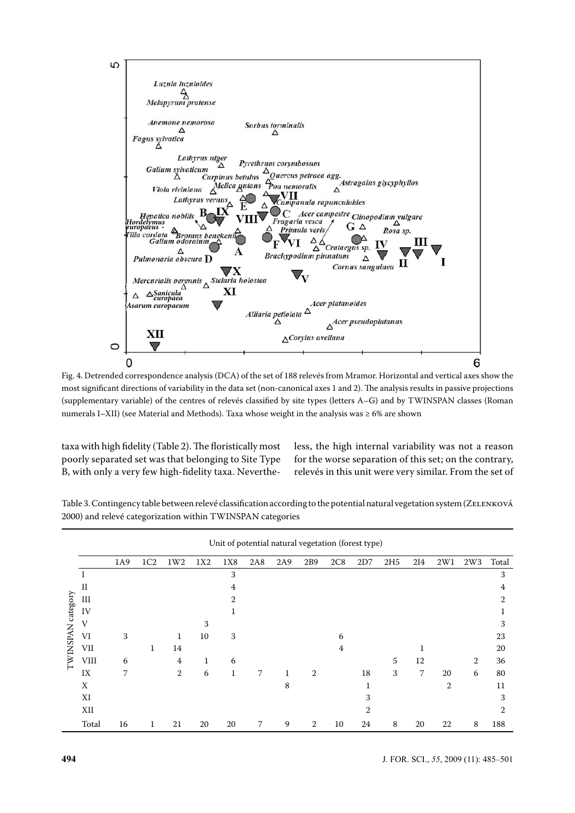

Fig. 4. Detrended correspondence analysis (DCA) of the set of 188 relevés from Mramor. Horizontal and vertical axes show the most significant directions of variability in the data set (non-canonical axes 1 and 2). The analysis results in passive projections (supplementary variable) of the centres of relevés classified by site types (letters A–G) and by TWINSPAN classes (Roman numerals I–XII) (see Material and Methods). Taxa whose weight in the analysis was ≥ 6% are shown

taxa with high fidelity (Table 2). The floristically most poorly separated set was that belonging to Site Type B, with only a very few high-fidelity taxa. Nevertheless, the high internal variability was not a reason for the worse separation of this set; on the contrary, relevés in this unit were very similar. From the set of

|                 |             |     |     |                |     |             |            | Unit of potential natural vegetation (forest type) |     |     |     |                 |                |                |     |                |
|-----------------|-------------|-----|-----|----------------|-----|-------------|------------|----------------------------------------------------|-----|-----|-----|-----------------|----------------|----------------|-----|----------------|
|                 |             | 1A9 | 1C2 | 1W2            | 1X2 | 1X8         | <b>2A8</b> | 2A9                                                | 2B9 | 2C8 | 2D7 | 2H <sub>5</sub> | 214            | 2W1            | 2W3 | Total          |
|                 |             |     |     |                |     | 3           |            |                                                    |     |     |     |                 |                |                |     | 3              |
|                 | $_{\rm II}$ |     |     |                |     | 4           |            |                                                    |     |     |     |                 |                |                |     | 4              |
|                 | III         |     |     |                |     | 2           |            |                                                    |     |     |     |                 |                |                |     | $\mathfrak{D}$ |
| category        | IV          |     |     |                |     |             |            |                                                    |     |     |     |                 |                |                |     |                |
|                 | V           |     |     |                | 3   |             |            |                                                    |     |     |     |                 |                |                |     | 3              |
|                 | VI          | 3   |     | 1              | 10  | 3           |            |                                                    |     | 6   |     |                 |                |                |     | 23             |
|                 | <b>VII</b>  |     | 1   | 14             |     |             |            |                                                    |     | 4   |     |                 |                |                |     | 20             |
| <b>TWINSPAN</b> | <b>VIII</b> | 6   |     | 4              | 1   | 6           |            |                                                    |     |     |     | 5               | 12             |                | 2   | 36             |
|                 | IX          | 7   |     | $\overline{2}$ | 6   | $\mathbf 1$ | 7          | $\mathbf{1}$                                       | 2   |     | 18  | 3               | $\overline{7}$ | 20             | 6   | 80             |
|                 | X           |     |     |                |     |             |            | 8                                                  |     |     | 1   |                 |                | $\overline{2}$ |     | 11             |
|                 | XI          |     |     |                |     |             |            |                                                    |     |     | 3   |                 |                |                |     | 3              |
|                 | XII         |     |     |                |     |             |            |                                                    |     |     | 2   |                 |                |                |     | $\overline{2}$ |
|                 | Total       | 16  | 1   | 21             | 20  | 20          | 7          | 9                                                  | 2   | 10  | 24  | 8               | 20             | 22             | 8   | 188            |

Table 3. Contingency table between relevé classification according to the potential natural vegetation system (ZELENKOVÁ 2000) and relevé categorization within TWINSPAN categories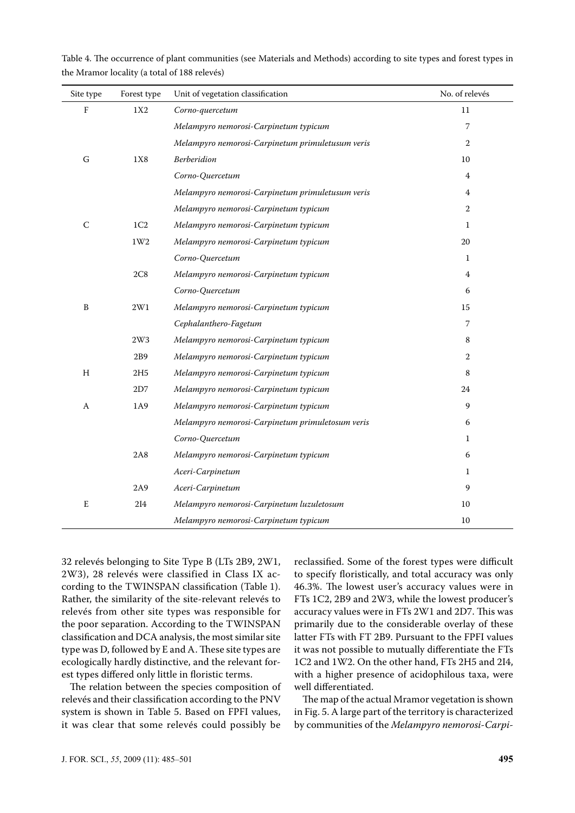| Table 4. The occurrence of plant communities (see Materials and Methods) according to site types and forest types in |  |  |  |
|----------------------------------------------------------------------------------------------------------------------|--|--|--|
| the Mramor locality (a total of 188 relevés)                                                                         |  |  |  |

| Site type   | Forest type     | Unit of vegetation classification                | No. of relevés |
|-------------|-----------------|--------------------------------------------------|----------------|
| $\rm F$     | 1X2             | Corno-quercetum                                  | 11             |
|             |                 | Melampyro nemorosi-Carpinetum typicum            | 7              |
|             |                 | Melampyro nemorosi-Carpinetum primuletusum veris | $\overline{2}$ |
| G           | 1X8             | <b>Berberidion</b>                               | 10             |
|             |                 | Corno-Quercetum                                  | 4              |
|             |                 | Melampyro nemorosi-Carpinetum primuletusum veris | 4              |
|             |                 | Melampyro nemorosi-Carpinetum typicum            | $\overline{2}$ |
| $\mathsf C$ | 1C <sub>2</sub> | Melampyro nemorosi-Carpinetum typicum            | 1              |
|             | 1W2             | Melampyro nemorosi-Carpinetum typicum            | 20             |
|             |                 | Corno-Quercetum                                  | $\mathbf{1}$   |
|             | 2C8             | Melampyro nemorosi-Carpinetum typicum            | 4              |
|             |                 | Corno-Quercetum                                  | 6              |
| B           | $2\mathrm{W1}$  | Melampyro nemorosi-Carpinetum typicum            | 15             |
|             |                 | Cephalanthero-Fagetum                            | 7              |
|             | 2W3             | Melampyro nemorosi-Carpinetum typicum            | 8              |
|             | 2B9             | Melampyro nemorosi-Carpinetum typicum            | 2              |
| H           | 2H5             | Melampyro nemorosi-Carpinetum typicum            | $\,8\,$        |
|             | 2D7             | Melampyro nemorosi-Carpinetum typicum            | 24             |
| A           | 1A9             | Melampyro nemorosi-Carpinetum typicum            | 9              |
|             |                 | Melampyro nemorosi-Carpinetum primuletosum veris | 6              |
|             |                 | Corno-Quercetum                                  | 1              |
|             | <b>2A8</b>      | Melampyro nemorosi-Carpinetum typicum            | 6              |
|             |                 | Aceri-Carpinetum                                 | $\mathbf{1}$   |
|             | 2A9             | Aceri-Carpinetum                                 | 9              |
| E           | 2I4             | Melampyro nemorosi-Carpinetum luzuletosum        | 10             |
|             |                 | Melampyro nemorosi-Carpinetum typicum            | 10             |

32 relevés belonging to Site Type B (LTs 2B9, 2W1, 2W3), 28 relevés were classified in Class IX according to the TWINSPAN classification (Table 1). Rather, the similarity of the site-relevant relevés to relevés from other site types was responsible for the poor separation. According to the TWINSPAN classification and DCA analysis, the most similar site type was D, followed by E and A. These site types are ecologically hardly distinctive, and the relevant forest types differed only little in floristic terms.

The relation between the species composition of relevés and their classification according to the PNV system is shown in Table 5. Based on FPFI values, it was clear that some relevés could possibly be

reclassified. Some of the forest types were difficult to specify floristically, and total accuracy was only 46.3%. The lowest user's accuracy values were in FTs 1C2, 2B9 and 2W3, while the lowest producer's accuracy values were in FTs 2W1 and 2D7. This was primarily due to the considerable overlay of these latter FTs with FT 2B9. Pursuant to the FPFI values it was not possible to mutually differentiate the FTs 1C2 and 1W2. On the other hand, FTs 2H5 and 2I4, with a higher presence of acidophilous taxa, were well differentiated.

The map of the actual Mramor vegetation is shown in Fig. 5. A large part of the territory is characterized by communities of the *Melampyro nemorosi-Carpi-*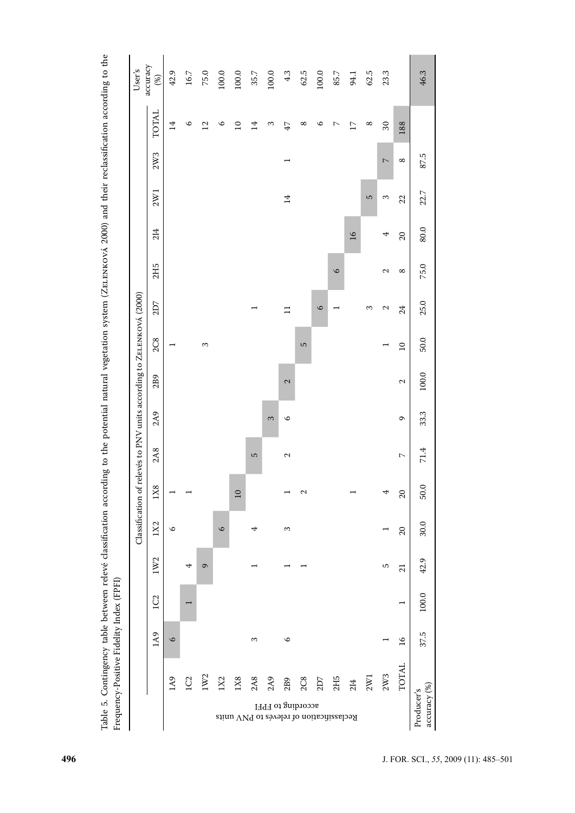| User's                                             | accuracy<br>(%) | 42.9                     | $16.7\,$                 | 75.0              | 100.0   | $100.0$         | $35.7\,$                                        | $100.0$ | 4.3                      | 62.5                     | 100.0   | $85.7\,$                 | 94.1            | 62.5     | 23.3                     |                                               | 46.3                                        |
|----------------------------------------------------|-----------------|--------------------------|--------------------------|-------------------|---------|-----------------|-------------------------------------------------|---------|--------------------------|--------------------------|---------|--------------------------|-----------------|----------|--------------------------|-----------------------------------------------|---------------------------------------------|
|                                                    | <b>TOTAL</b>    | $\overline{14}$          | $\circ$                  | $\overline{12}$   | $\circ$ | $\overline{10}$ | $\overline{4}$                                  | 3       | 47                       | ${}^{\infty}$            | $\circ$ | $\sim$                   | $\overline{17}$ | $\infty$ | $30\,$                   | 188                                           |                                             |
|                                                    | 2W3             |                          |                          |                   |         |                 |                                                 |         | $\overline{\phantom{0}}$ |                          |         |                          |                 |          | $\overline{\phantom{a}}$ | ${}^{\circ}$                                  | 87.5                                        |
|                                                    | 2W1             |                          |                          |                   |         |                 |                                                 |         | 14                       |                          |         |                          |                 | S        | $\sim$                   | 22                                            | 22.7                                        |
|                                                    | 214             |                          |                          |                   |         |                 |                                                 |         |                          |                          |         |                          | $\overline{16}$ |          | 4                        | $\Omega$                                      | 80.0                                        |
|                                                    | 2H5             |                          |                          |                   |         |                 |                                                 |         |                          |                          |         | $\circ$                  |                 |          | $\mathbf{\sim}$          | $\infty$                                      | 75.0                                        |
|                                                    | 2D7             |                          |                          |                   |         |                 |                                                 |         | $\equiv$                 |                          | $\circ$ | $\overline{\phantom{0}}$ |                 | 3        | $\mathbf{c}$             | 24                                            | 25.0                                        |
|                                                    | <b>2C8</b>      | $\overline{\phantom{0}}$ |                          | 3                 |         |                 |                                                 |         |                          | S                        |         |                          |                 |          | $\overline{\phantom{0}}$ | $\overline{10}$                               | 50.0                                        |
|                                                    | 2B9             |                          |                          |                   |         |                 |                                                 |         | $\mathbf{c}$             |                          |         |                          |                 |          |                          | $\mathbf{\sim}$                               | 100.0                                       |
| relevés to PNV units according to ZELENKOVÁ (2000) | 2A9             |                          |                          |                   |         |                 |                                                 | 3       | $\circ$                  |                          |         |                          |                 |          |                          | $\mathsf{C}$                                  | 33.3                                        |
|                                                    | 2A8             |                          |                          |                   |         |                 | 5                                               |         | $\mathbf{\sim}$          |                          |         |                          |                 |          |                          | $\mathord{\hspace{1pt}\text{--}\hspace{1pt}}$ | 71.4                                        |
|                                                    | 1X8             | $\overline{\phantom{0}}$ |                          |                   |         | $\overline{10}$ |                                                 |         |                          | $\mathbf{\sim}$          |         |                          |                 |          | 4                        | $20\,$                                        | 50.0                                        |
| Classification of                                  | 1X2             | $\circ$                  |                          |                   | $\circ$ |                 | 4                                               |         | 3                        |                          |         |                          |                 |          | ⊣                        | $\Omega$                                      | 30.0                                        |
|                                                    | 1W2             |                          | 4                        | $\mathbf{\Omega}$ |         |                 |                                                 |         |                          |                          |         |                          |                 |          | ro                       | 21                                            | 42.9                                        |
|                                                    | 1C2             |                          | $\overline{\phantom{0}}$ |                   |         |                 |                                                 |         |                          |                          |         |                          |                 |          |                          | $\overline{\phantom{0}}$                      | 100.0                                       |
|                                                    | 1A9             | $\circ$                  |                          |                   |         |                 | $\infty$                                        |         | $\circ$                  |                          |         |                          |                 |          |                          | $\frac{9}{2}$                                 | 37.5                                        |
|                                                    |                 | 1A9                      | 1 <sub>C2</sub>          | 1W2               | 1X2     | 1X8             | 2A8<br>Reclassification of relevés to PNV units | 2A9     | 2B9                      | 2C8<br>according to FPFI | 2D7     | 2H5                      | 214             | 2W1      | 2W3                      | <b>TOTAL</b>                                  | $\frac{\text{accuracy}(%)}{}$<br>Producer's |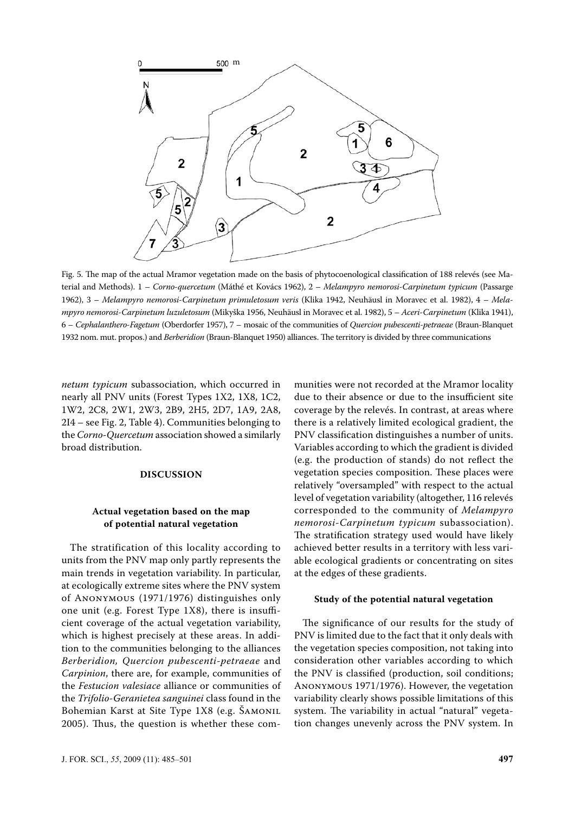

Fig. 5. The map of the actual Mramor vegetation made on the basis of phytocoenological classification of 188 relevés (see Material and Methods). 1 – *Corno-quercetum* (Máthé et Kovács 1962), 2 – *Melampyro nemorosi-Carpinetum typicum* (Passarge 1962), 3 – *Melampyro nemorosi-Carpinetum primuletosum veris* (Klika 1942, Neuhäusl in Moravec et al. 1982), 4 – *Melampyro nemorosi-Carpinetum luzuletosum* (Mikyška 1956, Neuhäusl in Moravec et al. 1982), 5 – *Aceri-Carpinetum* (Klika 1941), 6 – *Cephalanthero-Fagetum* (Oberdorfer 1957), 7 – mosaic of the communities of *Quercion pubescenti-petraeae* (Braun-Blanquet 1932 nom. mut. propos.) and *Berberidion* (Braun-Blanquet 1950) alliances. The territory is divided by three communications

*netum typicum* subassociation, which occurred in nearly all PNV units (Forest Types 1X2, 1X8, 1C2, 1W2, 2C8, 2W1, 2W3, 2B9, 2H5, 2D7, 1A9, 2A8, 2I4 – see Fig. 2, Table 4). Communities belonging to the *Corno-Quercetum* association showed a similarly broad distribution.

#### **DISCUSSION**

## **Actual vegetation based on the map of potential natural vegetation**

The stratification of this locality according to units from the PNV map only partly represents the main trends in vegetation variability. In particular, at ecologically extreme sites where the PNV system of Anonymous (1971/1976) distinguishes only one unit (e.g. Forest Type 1X8), there is insufficient coverage of the actual vegetation variability, which is highest precisely at these areas. In addition to the communities belonging to the alliances *Berberidion, Quercion pubescenti-petraeae* and *Carpinion*, there are, for example, communities of the *Festucion valesiace* alliance or communities of the *Trifolio-Geranietea sanguinei* class found in the Bohemian Karst at Site Type 1X8 (e.g. ŠAMONIL 2005). Thus, the question is whether these com-

munities were not recorded at the Mramor locality due to their absence or due to the insufficient site coverage by the relevés. In contrast, at areas where there is a relatively limited ecological gradient, the PNV classification distinguishes a number of units. Variables according to which the gradient is divided (e.g. the production of stands) do not reflect the vegetation species composition. These places were relatively "oversampled" with respect to the actual level of vegetation variability (altogether, 116 relevés corresponded to the community of *Melampyro nemorosi-Carpinetum typicum* subassociation). The stratification strategy used would have likely achieved better results in a territory with less variable ecological gradients or concentrating on sites at the edges of these gradients.

#### **Study of the potential natural vegetation**

The significance of our results for the study of PNV is limited due to the fact that it only deals with the vegetation species composition, not taking into consideration other variables according to which the PNV is classified (production, soil conditions; Anonymous 1971/1976). However, the vegetation variability clearly shows possible limitations of this system. The variability in actual "natural" vegetation changes unevenly across the PNV system. In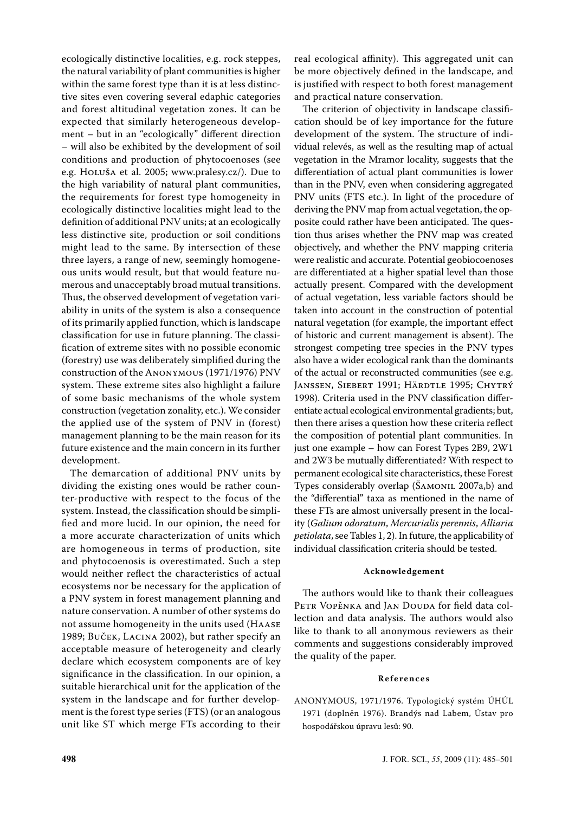ecologically distinctive localities, e.g. rock steppes, the natural variability of plant communities is higher within the same forest type than it is at less distinctive sites even covering several edaphic categories and forest altitudinal vegetation zones. It can be expected that similarly heterogeneous development – but in an "ecologically" different direction – will also be exhibited by the development of soil conditions and production of phytocoenoses (see e.g. Holuša et al. 2005; www.pralesy.cz/). Due to the high variability of natural plant communities, the requirements for forest type homogeneity in ecologically distinctive localities might lead to the definition of additional PNV units; at an ecologically less distinctive site, production or soil conditions might lead to the same. By intersection of these three layers, a range of new, seemingly homogeneous units would result, but that would feature numerous and unacceptably broad mutual transitions. Thus, the observed development of vegetation variability in units of the system is also a consequence of its primarily applied function, which is landscape classification for use in future planning. The classification of extreme sites with no possible economic (forestry) use was deliberately simplified during the construction of the Anonymous (1971/1976) PNV system. These extreme sites also highlight a failure of some basic mechanisms of the whole system construction (vegetation zonality, etc.). We consider the applied use of the system of PNV in (forest) management planning to be the main reason for its future existence and the main concern in its further development.

The demarcation of additional PNV units by dividing the existing ones would be rather counter-productive with respect to the focus of the system. Instead, the classification should be simplified and more lucid. In our opinion, the need for a more accurate characterization of units which are homogeneous in terms of production, site and phytocoenosis is overestimated. Such a step would neither reflect the characteristics of actual ecosystems nor be necessary for the application of a PNV system in forest management planning and nature conservation. A number of other systems do not assume homogeneity in the units used (Haase 1989; Buček, Lacina 2002), but rather specify an acceptable measure of heterogeneity and clearly declare which ecosystem components are of key significance in the classification. In our opinion, a suitable hierarchical unit for the application of the system in the landscape and for further development is the forest type series (FTS) (or an analogous unit like ST which merge FTs according to their

real ecological affinity). This aggregated unit can be more objectively defined in the landscape, and is justified with respect to both forest management and practical nature conservation.

The criterion of objectivity in landscape classification should be of key importance for the future development of the system. The structure of individual relevés, as well as the resulting map of actual vegetation in the Mramor locality, suggests that the differentiation of actual plant communities is lower than in the PNV, even when considering aggregated PNV units (FTS etc.). In light of the procedure of deriving the PNV map from actual vegetation, the opposite could rather have been anticipated. The question thus arises whether the PNV map was created objectively, and whether the PNV mapping criteria were realistic and accurate. Potential geobiocoenoses are differentiated at a higher spatial level than those actually present. Compared with the development of actual vegetation, less variable factors should be taken into account in the construction of potential natural vegetation (for example, the important effect of historic and current management is absent). The strongest competing tree species in the PNV types also have a wider ecological rank than the dominants of the actual or reconstructed communities (see e.g. JANSSEN, SIEBERT 1991; HÄRDTLE 1995; CHYTRÝ 1998). Criteria used in the PNV classification differentiate actual ecological environmental gradients; but, then there arises a question how these criteria reflect the composition of potential plant communities. In just one example – how can Forest Types 2B9, 2W1 and 2W3 be mutually differentiated? With respect to permanent ecological site characteristics, these Forest Types considerably overlap (ŠAMONIL 2007a,b) and the "differential" taxa as mentioned in the name of these FTs are almost universally present in the locality (*Galium odoratum*, *Mercurialis perennis*, *Alliaria petiolata*, see Tables 1, 2). In future, the applicability of individual classification criteria should be tested.

#### **Acknowledgement**

The authors would like to thank their colleagues PETR VOPĚNKA and JAN DOUDA for field data collection and data analysis. The authors would also like to thank to all anonymous reviewers as their comments and suggestions considerably improved the quality of the paper.

#### **R e f e r e n c e s**

ANONYMOUS, 1971/1976. Typologický systém ÚHÚL 1971 (doplněn 1976). Brandýs nad Labem, Ústav pro hospodářskou úpravu lesů: 90.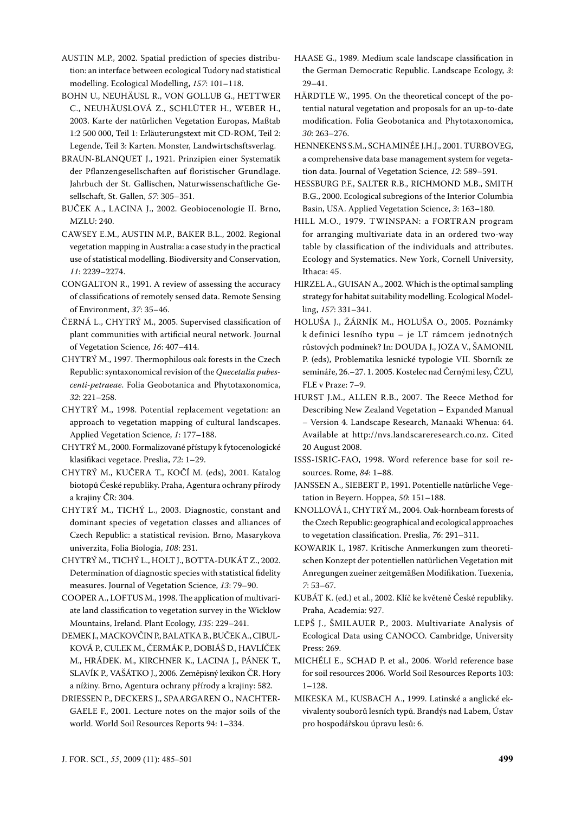AUSTIN M.P., 2002. Spatial prediction of species distribution: an interface between ecological Tudory nad statistical modelling. Ecological Modelling, *157*: 101–118.

BOHN U., NEUHÄUSL R., VON GOLLUB G., HETTWER C., NEUHÄUSLOVÁ Z., SCHLÜTER H., WEBER H., 2003. Karte der natürlichen Vegetation Europas, Maßtab 1:2 500 000, Teil 1: Erläuterungstext mit CD-ROM, Teil 2: Legende, Teil 3: Karten. Monster, Landwirtschsftsverlag.

BRAUN-BLANQUET J., 1921. Prinzipien einer Systematik der Pflanzengesellschaften auf floristischer Grundlage. Jahrbuch der St. Gallischen, Naturwissenschaftliche Gesellschaft, St. Gallen, *57*: 305–351.

BUČEK A., LACINA J., 2002. Geobiocenologie II. Brno, MZLU: 240.

CAWSEY E.M., AUSTIN M.P., BAKER B.L., 2002. Regional vegetation mapping in Australia: a case study in the practical use of statistical modelling. Biodiversity and Conservation, *11*: 2239–2274.

CONGALTON R., 1991. A review of assessing the accuracy of classifications of remotely sensed data. Remote Sensing of Environment, *37*: 35–46.

ČERNÁ L., CHYTRÝ M., 2005. Supervised classification of plant communities with artificial neural network. Journal of Vegetation Science, *16*: 407–414.

CHYTRÝ M., 1997. Thermophilous oak forests in the Czech Republic: syntaxonomical revision of the *Quecetalia pubescenti-petraeae*. Folia Geobotanica and Phytotaxonomica, *32*: 221–258.

CHYTRÝ M., 1998. Potential replacement vegetation: an approach to vegetation mapping of cultural landscapes. Applied Vegetation Science, *1*: 177–188.

CHYTRÝ M., 2000. Formalizované přístupy k fytocenologické klasifikaci vegetace. Preslia, *72*: 1–29.

CHYTRÝ M., KUČERA T., KOČÍ M. (eds), 2001. Katalog biotopů české republiky. Praha, Agentura ochrany přírody a krajiny ČR: 304.

CHYTRÝ M., TICHÝ L., 2003. Diagnostic, constant and dominant species of vegetation classes and alliances of Czech Republic: a statistical revision. Brno, Masarykova univerzita, Folia Biologia, *108*: 231.

CHYTRÝ M., TICHÝ L., HOLT J., BOTTA-DUKÁT Z., 2002. Determination of diagnostic species with statistical fidelity measures. Journal of Vegetation Science, *13*: 79–90.

COOPER A., LOFTUS M., 1998. The application of multivariate land classification to vegetation survey in the Wicklow Mountains, Ireland. Plant Ecology, *135*: 229–241.

DEMEK J., MACKOVČIN P., BALATKA B., BUČEK A., CIBUL-KOVÁ P., CULEK M., ČERMÁK P., DOBIÁŠ D., HAVLÍČEK M., HRÁDEK. M., KIRCHNER K., LACINA J., PÁNEK T., SLAVÍK P., VAŠÁTKO J., 2006. Zeměpisný lexikon ČR. Hory a nížiny. Brno, Agentura ochrany přírody a krajiny: 582.

DRIESSEN P., DECKERS J., SPAARGAREN O., NACHTER-GAELE F., 2001. Lecture notes on the major soils of the world. World Soil Resources Reports 94: 1–334.

HAASE G., 1989. Medium scale landscape classification in the German Democratic Republic. Landscape Ecology, *3*: 29–41.

HÄRDTLE W., 1995. On the theoretical concept of the potential natural vegetation and proposals for an up-to-date modification. Folia Geobotanica and Phytotaxonomica, *30*: 263–276.

HENNEKENS S.M., SCHAMINÉE J.H.J., 2001. TURBOVEG, a comprehensive data base management system for vegetation data. Journal of Vegetation Science, *12*: 589–591.

HESSBURG P.F., SALTER R.B., RICHMOND M.B., SMITH B.G., 2000. Ecological subregions of the Interior Columbia Basin, USA. Applied Vegetation Science, *3*: 163–180.

HILL M.O., 1979. TWINSPAN: a FORTRAN program for arranging multivariate data in an ordered two-way table by classification of the individuals and attributes. Ecology and Systematics. New York, Cornell University, Ithaca: 45.

HIRZEL A., GUISAN A., 2002. Which is the optimal sampling strategy for habitat suitability modelling. Ecological Modelling, *157*: 331–341.

HOLUŠA J., ŽÁRNÍK M., HOLUŠA O., 2005. Poznámky k definici lesního typu – je LT rámcem jednotných růstových podmínek? In: DOUDA J., JOZA V., ŠAMONIL P. (eds), Problematika lesnické typologie VII. Sborník ze semináře, 26.–27. 1. 2005. Kostelec nad Černými lesy, ČZU, FLE v Praze: 7–9.

HURST J.M., ALLEN R.B., 2007. The Reece Method for Describing New Zealand Vegetation – Expanded Manual – Version 4. Landscape Research, Manaaki Whenua: 64. Available at http://nvs.landscareresearch.co.nz. Cited 20 August 2008.

ISSS-ISRIC-FAO, 1998. Word reference base for soil resources. Rome, *84*: 1–88.

JANSSEN A., SIEBERT P., 1991. Potentielle natürliche Vegetation in Beyern. Hoppea, *50*: 151–188.

KNOLLOVÁ I., CHYTRÝ M., 2004. Oak-hornbeam forests of the Czech Republic: geographical and ecological approaches to vegetation classification. Preslia, *76*: 291–311.

KOWARIK I., 1987. Kritische Anmerkungen zum theoretischen Konzept der potentiellen natürlichen Vegetation mit Anregungen zueiner zeitgemäßen Modifikation. Tuexenia, *7*: 53–67.

KUBÁT K. (ed.) et al., 2002. Klíč ke květeně české republiky. Praha, Academia: 927.

LEPŠ J., ŠMILAUER P., 2003. Multivariate Analysis of Ecological Data using CANOCO. Cambridge, University Press: 269.

MICHÉLI E., SCHAD P. et al., 2006. World reference base for soil resources 2006. World Soil Resources Reports 103: 1–128.

MIKESKA M., KUSBACH A., 1999. Latinské a anglické ekvivalenty souborů lesních typů. Brandýs nad Labem, Ústav pro hospodářskou úpravu lesů: 6.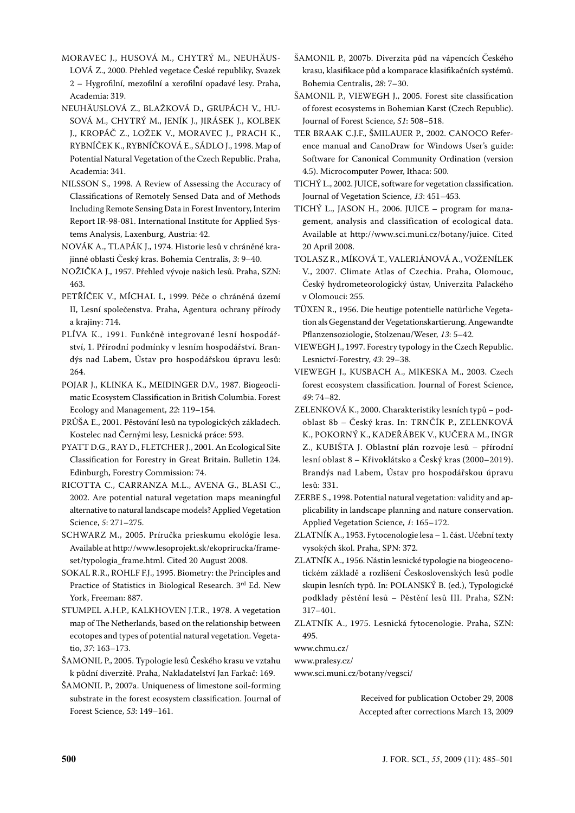MORAVEC J., HUSOVÁ M., CHYTRÝ M., NEUHÄUS-LOVÁ Z., 2000. Přehled vegetace České republiky, Svazek 2 – Hygrofilní, mezofilní a xerofilní opadavé lesy. Praha, Academia: 319.

NEUHÄUSLOVÁ Z., BLAŽKOVÁ D., GRUPÁCH V., HU-SOVÁ M., CHYTRÝ M., JENÍK J., JIRÁSEK J., KOLBEK J., KROPÁČ Z., LOŽEK V., MORAVEC J., PRACH K., RYBNÍČEK K., RYBNÍČKOVÁ E., SÁDLO J., 1998. Map of Potential Natural Vegetation of the Czech Republic. Praha, Academia: 341.

NILSSON S., 1998. A Review of Assessing the Accuracy of Classifications of Remotely Sensed Data and of Methods Including Remote Sensing Data in Forest Inventory, Interim Report IR-98-081. International Institute for Applied Systems Analysis, Laxenburg, Austria: 42.

Novák A., Tlapák J., 1974. Historie lesů v chráněné krajinné oblasti Český kras. Bohemia centralis, *3*: 9–40.

Nožička J., 1957. Přehled vývoje našich lesů. Praha, SZN: 463.

PETŘÍČEK V., MÍCHAL I., 1999. Péče o chráněná území II, Lesní společenstva. Praha, Agentura ochrany přírody a krajiny: 714.

PLÍVA K., 1991. Funkčně integrované lesní hospodářství, 1. Přírodní podmínky v lesním hospodářství. Brandýs nad Labem, Ústav pro hospodářskou úpravu lesů: 264.

POJAR J., KLINKA K., MEIDINGER D.V., 1987. Biogeoclimatic Ecosystem Classification in British Columbia. Forest Ecology and Management, *22*: 119–154.

PRŮŠA E., 2001. Pěstování lesů na typologických základech. Kostelec nad Černými lesy, Lesnická práce: 593.

PYATT D.G., RAY D., FLETCHER J., 2001. An Ecological Site Classification for Forestry in Great Britain. Bulletin 124. Edinburgh, Forestry Commission: 74.

RICOTTA C., CARRANZA M.L., AVENA G., BLASI C., 2002. Are potential natural vegetation maps meaningful alternative to natural landscape models? Applied Vegetation Science, *5*: 271–275.

SCHWARZ M., 2005. Príručka prieskumu ekológie lesa. Available at http://www.lesoprojekt.sk/ekoprirucka/frameset/typologia\_frame.html. Cited 20 August 2008.

SOKAL R.R., ROHLF F.J., 1995. Biometry: the principles and Practice of Statistics in Biological Research. 3rd Ed. New York, Freeman: 887.

STUMPEL A.H.P., KALKHOVEN J.T.R., 1978. A vegetation map of The Netherlands, based on the relationship between ecotopes and types of potential natural vegetation. Vegetatio, *37*: 163–173.

ŠAMONIL P., 2005. Typologie lesů Českého krasu ve vztahu k půdní diverzitě. Praha, Nakladatelství Jan Farkač: 169.

ŠAMONIL P., 2007a. Uniqueness of limestone soil-forming substrate in the forest ecosystem classification. Journal of Forest Science, *53*: 149–161.

ŠAMONIL P., 2007b. Diverzita půd na vápencích Českého krasu, klasifikace půd a komparace klasifikačních systémů. Bohemia centralis, *28*: 7–30.

ŠAMONIL P., VIEWEGH J., 2005. Forest site classification of forest ecosystems in Bohemian Karst (Czech Republic). Journal of Forest Science, *51*: 508–518.

TER BRAAK C.J.F., ŠMILAUER P., 2002. CANOCO Reference manual and CanoDraw for Windows User's guide: Software for Canonical Community Ordination (version 4.5). Microcomputer Power, Ithaca: 500.

TICHÝ L., 2002. JUICE, software for vegetation classification. Journal of Vegetation Science, *13*: 451–453.

TICHÝ L., JASON H., 2006. JUICE – program for management, analysis and classification of ecological data. Available at http://www.sci.muni.cz/botany/juice. Cited 20 April 2008.

TOLASZ R., MÍKOVÁ T., VALERIÁNOVÁ A., VOŽENÍLEK V., 2007. Climate atlas of Czechia. Praha, Olomouc, Český hydrometeorologický ústav, Univerzita Palackého v Olomouci: 255.

TÜXEN R., 1956. Die heutige potentielle natürliche Vegetation als Gegenstand der Vegetationskartierung. Angewandte Pflanzensoziologie, Stolzenau/Weser, *13*: 5–42.

VIEWEGH J., 1997. Forestry typology in the Czech Republic. Lesnictví-Forestry, *43*: 29–38.

VIEWEGH J., KUSBACH A., MIKESKA M., 2003. Czech forest ecosystem classification. Journal of Forest Science, *49*: 74–82.

ZELENKOVÁ K., 2000. Charakteristiky lesních typů – podoblast 8b – Český kras. In: TRNČÍK P., ZELENKOVÁ K., POKORNÝ K., KADEŘÁBEK V., KUČERA M., INGR Z., KUBIŠTA J. Oblastní plán rozvoje lesů – přírodní lesní oblast 8 – Křivoklátsko a Český kras (2000–2019). Brandýs nad Labem, Ústav pro hospodářskou úpravu lesů: 331.

ZERBE S., 1998. Potential natural vegetation: validity and applicability in landscape planning and nature conservation. Applied Vegetation Science, *1*: 165–172.

ZLATNÍK A., 1953. Fytocenologie lesa – 1. část. Učební texty vysokých škol. Praha, SPN: 372.

ZLATNÍK A., 1956. Nástin lesnické typologie na biogeocenotickém základě a rozlišení Československých lesů podle skupin lesních typů. In: POLANSKÝ B. (ed.), Typologické podklady pěstění lesů – Pěstění lesů III. Praha, SZN: 317–401.

ZLATNÍK A., 1975. Lesnická fytocenologie. Praha, SZN: 495.

www.chmu.cz/

www.pralesy.cz/

www.sci.muni.cz/botany/vegsci/

Received for publication October 29, 2008 Accepted after corrections March 13, 2009